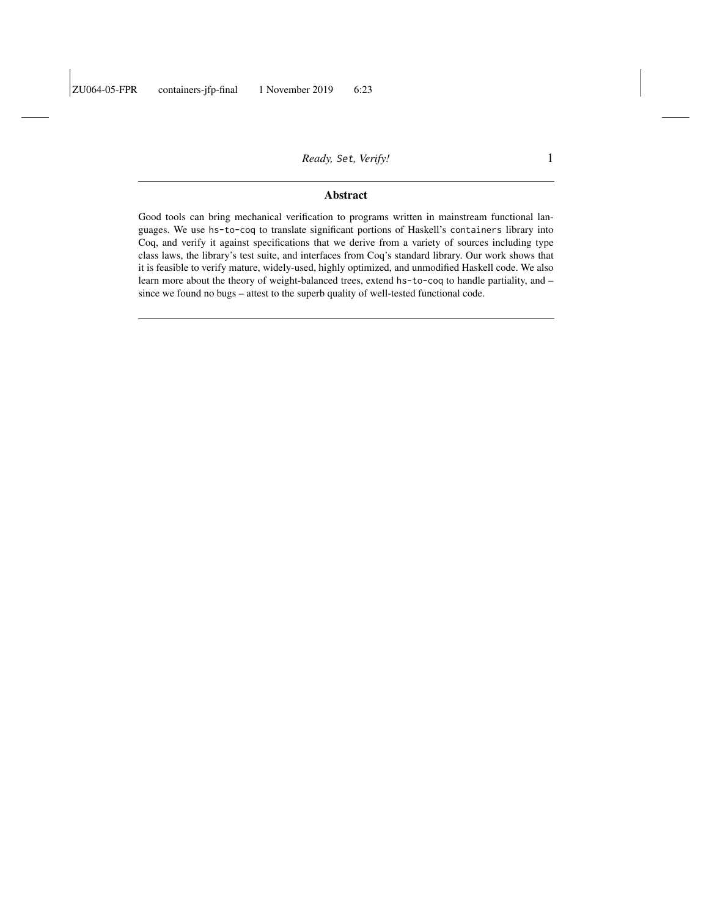#### Abstract

Good tools can bring mechanical verification to programs written in mainstream functional languages. We use hs-to-coq to translate significant portions of Haskell's containers library into Coq, and verify it against specifications that we derive from a variety of sources including type class laws, the library's test suite, and interfaces from Coq's standard library. Our work shows that it is feasible to verify mature, widely-used, highly optimized, and unmodified Haskell code. We also learn more about the theory of weight-balanced trees, extend hs-to-coq to handle partiality, and – since we found no bugs – attest to the superb quality of well-tested functional code.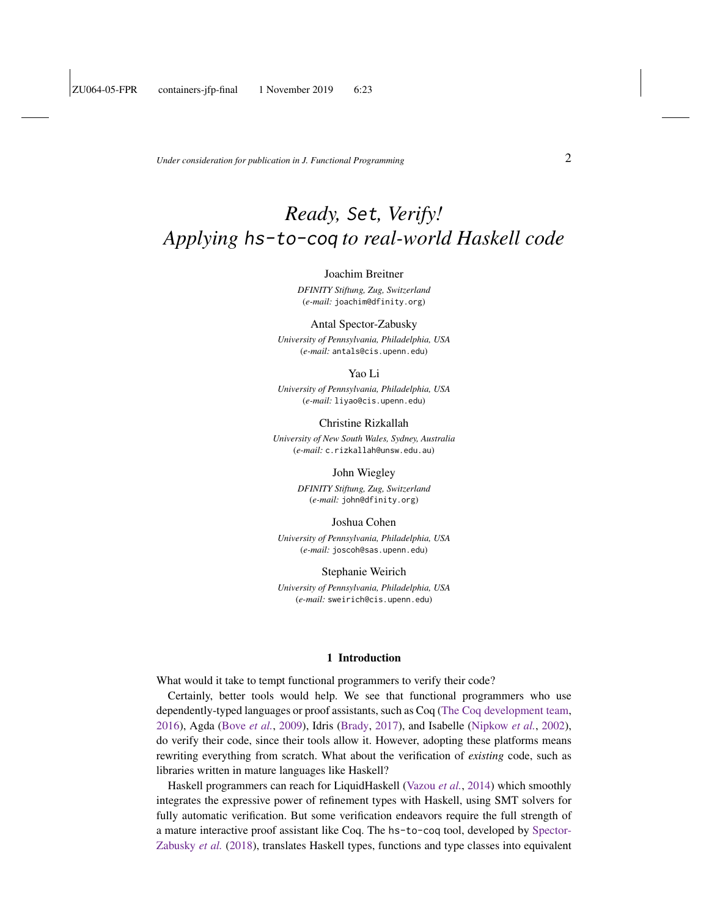*Under consideration for publication in J. Functional Programming* 2

# *Ready,* Set*, Verify! Applying* hs-to-coq *to real-world Haskell code*

#### Joachim Breitner

*DFINITY Stiftung, Zug, Switzerland* (*e-mail:* joachim@dfinity.org)

#### Antal Spector-Zabusky

*University of Pennsylvania, Philadelphia, USA* (*e-mail:* antals@cis.upenn.edu)

#### Yao Li

*University of Pennsylvania, Philadelphia, USA* (*e-mail:* liyao@cis.upenn.edu)

Christine Rizkallah

*University of New South Wales, Sydney, Australia* (*e-mail:* c.rizkallah@unsw.edu.au)

#### John Wiegley

*DFINITY Stiftung, Zug, Switzerland* (*e-mail:* john@dfinity.org)

Joshua Cohen

*University of Pennsylvania, Philadelphia, USA* (*e-mail:* joscoh@sas.upenn.edu)

Stephanie Weirich

*University of Pennsylvania, Philadelphia, USA* (*e-mail:* sweirich@cis.upenn.edu)

#### 1 Introduction

What would it take to tempt functional programmers to verify their code?

Certainly, better tools would help. We see that functional programmers who use dependently-typed languages or proof assistants, such as Coq [\(The Coq development team,](#page-40-0) [2016\)](#page-40-0), Agda [\(Bove](#page-39-0) *et al.*, [2009\)](#page-39-0), Idris [\(Brady,](#page-39-1) [2017\)](#page-39-1), and Isabelle [\(Nipkow](#page-41-0) *et al.*, [2002\)](#page-41-0), do verify their code, since their tools allow it. However, adopting these platforms means rewriting everything from scratch. What about the verification of *existing* code, such as libraries written in mature languages like Haskell?

Haskell programmers can reach for LiquidHaskell [\(Vazou](#page-42-0) *et al.*, [2014\)](#page-42-0) which smoothly integrates the expressive power of refinement types with Haskell, using SMT solvers for fully automatic verification. But some verification endeavors require the full strength of a mature interactive proof assistant like Coq. The hs-to-coq tool, developed by [Spector-](#page-41-1)[Zabusky](#page-41-1) *et al.* [\(2018\)](#page-41-1), translates Haskell types, functions and type classes into equivalent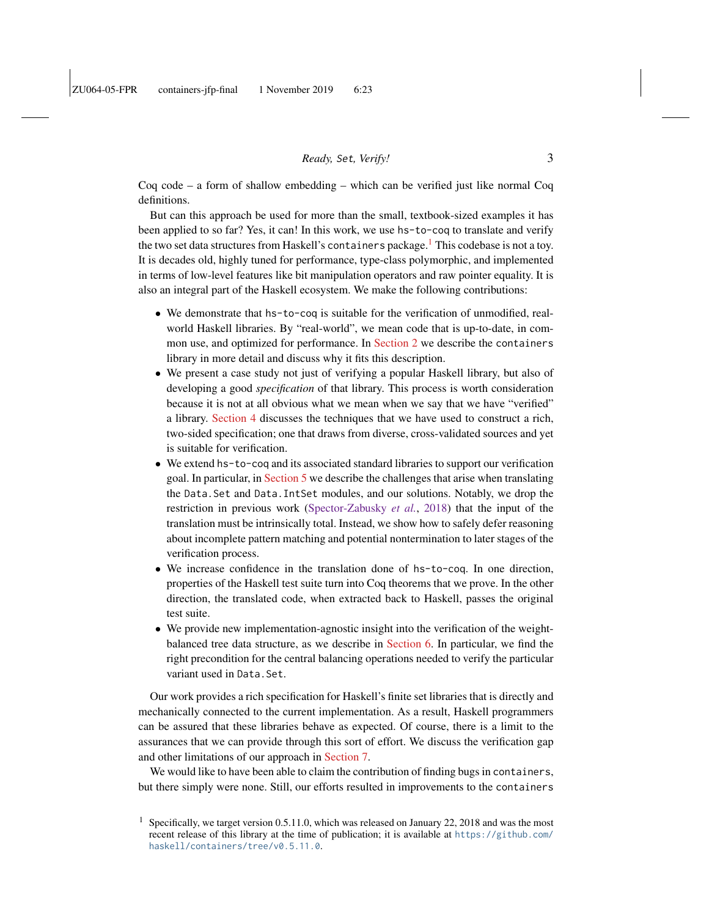Coq code – a form of shallow embedding – which can be verified just like normal Coq definitions.

But can this approach be used for more than the small, textbook-sized examples it has been applied to so far? Yes, it can! In this work, we use hs-to-coq to translate and verify the two set data structures from Haskell's containers package.<sup>[1](#page-2-0)</sup> This codebase is not a toy. It is decades old, highly tuned for performance, type-class polymorphic, and implemented in terms of low-level features like bit manipulation operators and raw pointer equality. It is also an integral part of the Haskell ecosystem. We make the following contributions:

- We demonstrate that hs-to-coq is suitable for the verification of unmodified, realworld Haskell libraries. By "real-world", we mean code that is up-to-date, in common use, and optimized for performance. In [Section 2](#page-3-0) we describe the containers library in more detail and discuss why it fits this description.
- We present a case study not just of verifying a popular Haskell library, but also of developing a good *specification* of that library. This process is worth consideration because it is not at all obvious what we mean when we say that we have "verified" a library. [Section 4](#page-9-0) discusses the techniques that we have used to construct a rich, two-sided specification; one that draws from diverse, cross-validated sources and yet is suitable for verification.
- We extend hs-to-coq and its associated standard libraries to support our verification goal. In particular, in [Section 5](#page-17-0) we describe the challenges that arise when translating the Data.Set and Data.IntSet modules, and our solutions. Notably, we drop the restriction in previous work [\(Spector-Zabusky](#page-41-1) *et al.*, [2018\)](#page-41-1) that the input of the translation must be intrinsically total. Instead, we show how to safely defer reasoning about incomplete pattern matching and potential nontermination to later stages of the verification process.
- We increase confidence in the translation done of hs-to-coq. In one direction, properties of the Haskell test suite turn into Coq theorems that we prove. In the other direction, the translated code, when extracted back to Haskell, passes the original test suite.
- We provide new implementation-agnostic insight into the verification of the weightbalanced tree data structure, as we describe in [Section 6.](#page-29-0) In particular, we find the right precondition for the central balancing operations needed to verify the particular variant used in Data.Set.

Our work provides a rich specification for Haskell's finite set libraries that is directly and mechanically connected to the current implementation. As a result, Haskell programmers can be assured that these libraries behave as expected. Of course, there is a limit to the assurances that we can provide through this sort of effort. We discuss the verification gap and other limitations of our approach in [Section 7.](#page-32-0)

We would like to have been able to claim the contribution of finding bugs in containers, but there simply were none. Still, our efforts resulted in improvements to the containers

<span id="page-2-0"></span><sup>&</sup>lt;sup>1</sup> Specifically, we target version 0.5.11.0, which was released on January 22, 2018 and was the most recent release of this library at the time of publication; it is available at [https://github.com/](https://github.com/haskell/containers/tree/v0.5.11.0) [haskell/containers/tree/v0.5.11.0](https://github.com/haskell/containers/tree/v0.5.11.0).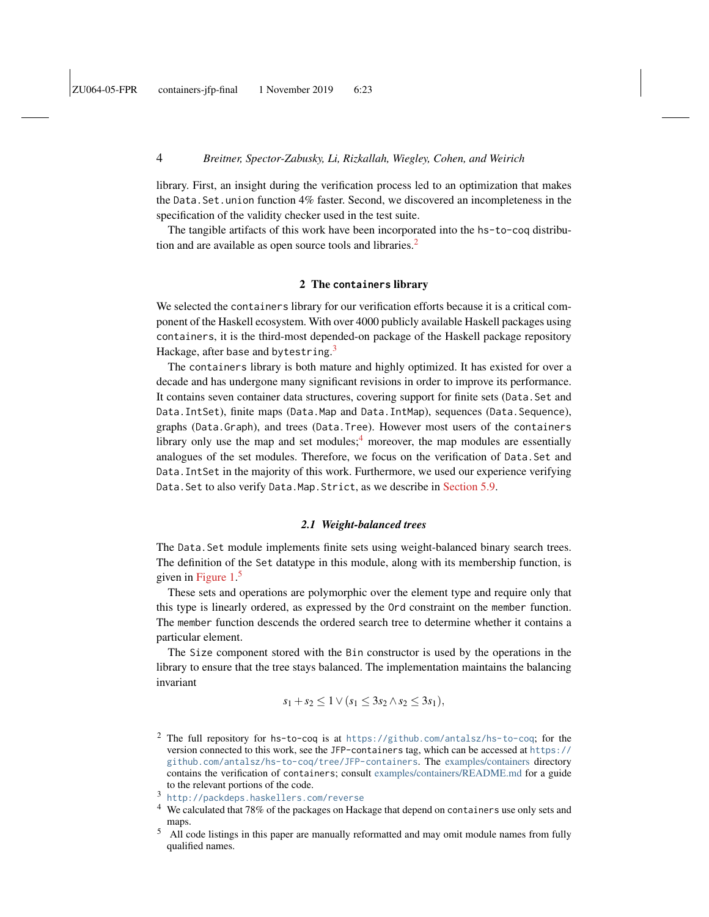library. First, an insight during the verification process led to an optimization that makes the Data.Set.union function 4% faster. Second, we discovered an incompleteness in the specification of the validity checker used in the test suite.

The tangible artifacts of this work have been incorporated into the hs-to-coq distribu-tion and are available as open source tools and libraries.<sup>[2](#page-3-1)</sup>

### 2 The **containers** library

<span id="page-3-0"></span>We selected the containers library for our verification efforts because it is a critical component of the Haskell ecosystem. With over 4000 publicly available Haskell packages using containers, it is the third-most depended-on package of the Haskell package repository Hackage, after base and bytestring. $^3$  $^3$ 

The containers library is both mature and highly optimized. It has existed for over a decade and has undergone many significant revisions in order to improve its performance. It contains seven container data structures, covering support for finite sets (Data.Set and Data.IntSet), finite maps (Data.Map and Data.IntMap), sequences (Data.Sequence), graphs (Data.Graph), and trees (Data.Tree). However most users of the containers library only use the map and set modules; $<sup>4</sup>$  $<sup>4</sup>$  $<sup>4</sup>$  moreover, the map modules are essentially</sup> analogues of the set modules. Therefore, we focus on the verification of Data.Set and Data.IntSet in the majority of this work. Furthermore, we used our experience verifying Data.Set to also verify Data.Map.Strict, as we describe in [Section 5.9.](#page-28-0)

#### *2.1 Weight-balanced trees*

The Data.Set module implements finite sets using weight-balanced binary search trees. The definition of the Set datatype in this module, along with its membership function, is given in [Figure 1.](#page-4-0)<sup>[5](#page-3-4)</sup>

These sets and operations are polymorphic over the element type and require only that this type is linearly ordered, as expressed by the Ord constraint on the member function. The member function descends the ordered search tree to determine whether it contains a particular element.

The Size component stored with the Bin constructor is used by the operations in the library to ensure that the tree stays balanced. The implementation maintains the balancing invariant

$$
s_1 + s_2 \leq 1 \vee (s_1 \leq 3s_2 \wedge s_2 \leq 3s_1),
$$

<span id="page-3-1"></span><sup>2</sup> The full repository for hs-to-coq is at <https://github.com/antalsz/hs-to-coq>; for the version connected to this work, see the JFP-containers tag, which can be accessed at [https://](https://github.com/antalsz/hs-to-coq/tree/JFP-containers) [github.com/antalsz/hs-to-coq/tree/JFP-containers](https://github.com/antalsz/hs-to-coq/tree/JFP-containers). The [examples/containers](https://github.com/antalsz/hs-to-coq/blob/JFP-containers/examples/containers) directory contains the verification of containers; consult [examples/containers/README.md](https://github.com/antalsz/hs-to-coq/blob/JFP-containers/examples/containers/README.md) for a guide to the relevant portions of the code.

- <span id="page-3-3"></span><sup>4</sup> We calculated that 78% of the packages on Hackage that depend on containers use only sets and maps.
- <span id="page-3-4"></span><sup>5</sup> All code listings in this paper are manually reformatted and may omit module names from fully qualified names.

<span id="page-3-2"></span><sup>3</sup> <http://packdeps.haskellers.com/reverse>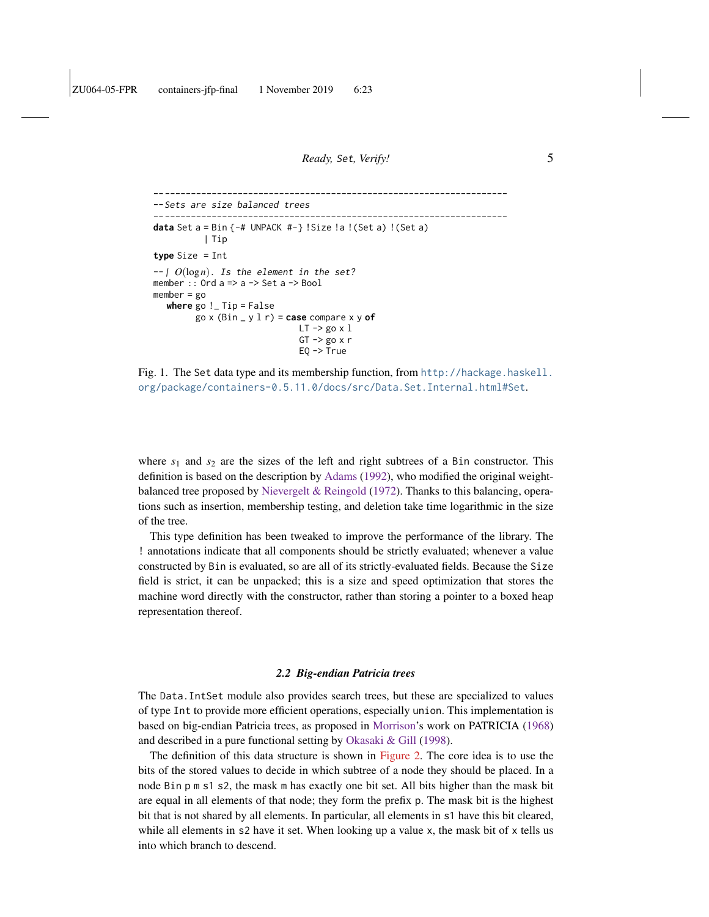```
--------------------------------------------------------------------
--Sets are size balanced trees
--------------------------------------------------------------------
data Set a = Bin {-# UNPACK #-} !Size !a !(Set a) !(Set a)
           | Tip
type Size = Int
--| O(logn). Is the element in the set?
member :: Ord a => a -> Set a -> Bool
member = go
   where go !_ Tip = False
          go x (Bin _ y l r) = case compare x y of
                                  LT \rightarrow go \times 1GT \rightarrow go x r
                                  EQ -> True
```
<span id="page-4-0"></span>Fig. 1. The Set data type and its membership function, from [http://hackage.haskell.](http://hackage.haskell.org/package/containers-0.5.11.0/docs/src/Data.Set.Internal.html#Set) [org/package/containers-0.5.11.0/docs/src/Data.Set.Internal.html#Set](http://hackage.haskell.org/package/containers-0.5.11.0/docs/src/Data.Set.Internal.html#Set).

where  $s_1$  and  $s_2$  are the sizes of the left and right subtrees of a Bin constructor. This definition is based on the description by [Adams](#page-39-2) [\(1992\)](#page-39-2), who modified the original weightbalanced tree proposed by [Nievergelt & Reingold](#page-41-2) [\(1972\)](#page-41-2). Thanks to this balancing, operations such as insertion, membership testing, and deletion take time logarithmic in the size of the tree.

This type definition has been tweaked to improve the performance of the library. The ! annotations indicate that all components should be strictly evaluated; whenever a value constructed by Bin is evaluated, so are all of its strictly-evaluated fields. Because the Size field is strict, it can be unpacked; this is a size and speed optimization that stores the machine word directly with the constructor, rather than storing a pointer to a boxed heap representation thereof.

#### *2.2 Big-endian Patricia trees*

<span id="page-4-1"></span>The Data.IntSet module also provides search trees, but these are specialized to values of type Int to provide more efficient operations, especially union. This implementation is based on big-endian Patricia trees, as proposed in [Morrison'](#page-41-3)s work on PATRICIA [\(1968\)](#page-41-3) and described in a pure functional setting by [Okasaki & Gill](#page-41-4) [\(1998\)](#page-41-4).

The definition of this data structure is shown in [Figure 2.](#page-5-0) The core idea is to use the bits of the stored values to decide in which subtree of a node they should be placed. In a node Bin p m s1 s2, the mask m has exactly one bit set. All bits higher than the mask bit are equal in all elements of that node; they form the prefix p. The mask bit is the highest bit that is not shared by all elements. In particular, all elements in s1 have this bit cleared, while all elements in s2 have it set. When looking up a value x, the mask bit of x tells us into which branch to descend.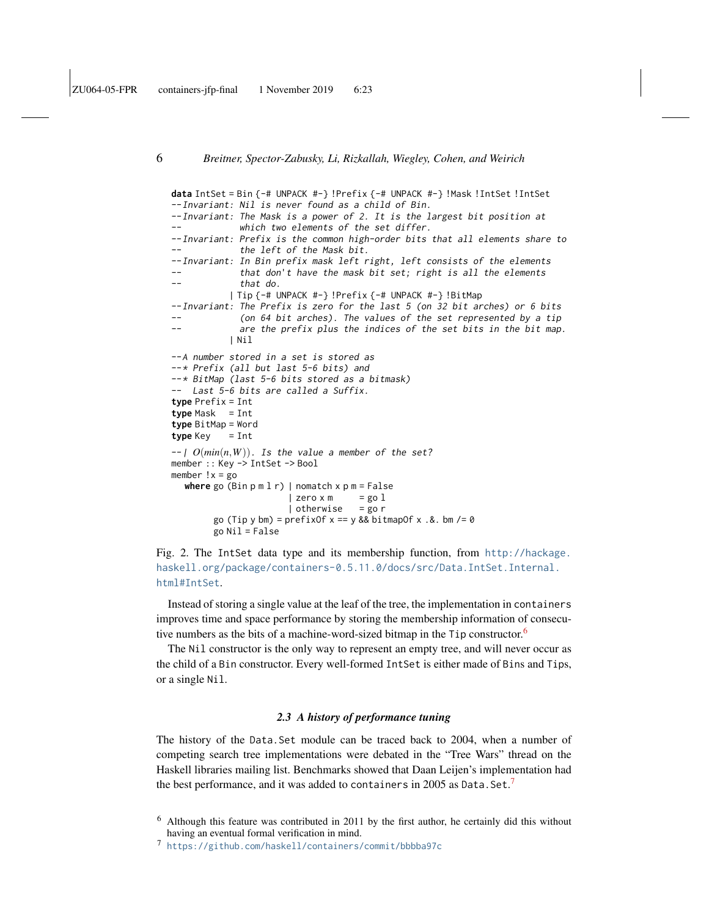```
data IntSet = Bin {-# UNPACK #-} !Prefix {-# UNPACK #-} !Mask !IntSet !IntSet
--Invariant: Nil is never found as a child of Bin.
--Invariant: The Mask is a power of 2. It is the largest bit position at
             which two elements of the set differ.
--Invariant: Prefix is the common high-order bits that all elements share to
             the left of the Mask bit.
--Invariant: In Bin prefix mask left right, left consists of the elements
             that don't have the mask bit set; right is all the elements
-- that do.
           | Tip {-# UNPACK #-} !Prefix {-# UNPACK #-} !BitMap
--Invariant: The Prefix is zero for the last 5 (on 32 bit arches) or 6 bits
             (on 64 bit arches). The values of the set represented by a tip
-- are the prefix plus the indices of the set bits in the bit map.
           | Nil
--A number stored in a set is stored as
--* Prefix (all but last 5-6 bits) and
--* BitMap (last 5-6 bits stored as a bitmask)
-- Last 5-6 bits are called a Suffix.
type Prefix = Int
type Mask = Int
type BitMap = Word
type Key = Int
- O(min(n, W)). Is the value a member of the set?
member :: Key -> IntSet -> Bool
member !x = gowhere go (Bin p m l r) | nomatch x p m = False
                      | zero \times m = go 1| otherwise = go r
        go (Tip y bm) = prefixOf x == y & bitmapOf x .& bm / = 0go Nil = False
```
<span id="page-5-0"></span>Fig. 2. The IntSet data type and its membership function, from [http://hackage.](http://hackage.haskell.org/package/containers-0.5.11.0/docs/src/Data.IntSet.Internal.html#IntSet) [haskell.org/package/containers-0.5.11.0/docs/src/Data.IntSet.Internal.](http://hackage.haskell.org/package/containers-0.5.11.0/docs/src/Data.IntSet.Internal.html#IntSet) [html#IntSet](http://hackage.haskell.org/package/containers-0.5.11.0/docs/src/Data.IntSet.Internal.html#IntSet).

Instead of storing a single value at the leaf of the tree, the implementation in containers improves time and space performance by storing the membership information of consecutive numbers as the bits of a machine-word-sized bitmap in the  $Tip$  constructor.<sup>[6](#page-5-1)</sup>

The Nil constructor is the only way to represent an empty tree, and will never occur as the child of a Bin constructor. Every well-formed IntSet is either made of Bins and Tips, or a single Nil.

### *2.3 A history of performance tuning*

The history of the Data.Set module can be traced back to 2004, when a number of competing search tree implementations were debated in the "Tree Wars" thread on the Haskell libraries mailing list. Benchmarks showed that Daan Leijen's implementation had the best performance, and it was added to containers in 2005 as <code>Data.Set.</code>  $\!\!7$  $\!\!7$ 

<span id="page-5-1"></span> $6$  Although this feature was contributed in 2011 by the first author, he certainly did this without having an eventual formal verification in mind.

<span id="page-5-2"></span><sup>7</sup> <https://github.com/haskell/containers/commit/bbbba97c>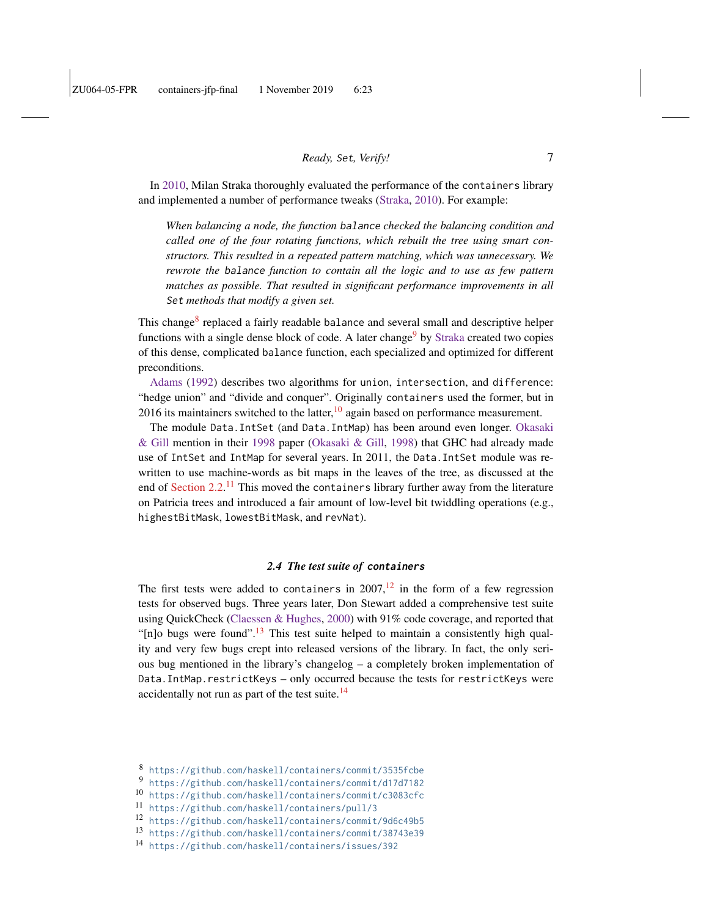In [2010,](#page-41-5) Milan Straka thoroughly evaluated the performance of the containers library and implemented a number of performance tweaks [\(Straka,](#page-41-5) [2010\)](#page-41-5). For example:

*When balancing a node, the function* balance *checked the balancing condition and called one of the four rotating functions, which rebuilt the tree using smart constructors. This resulted in a repeated pattern matching, which was unnecessary. We rewrote the* balance *function to contain all the logic and to use as few pattern matches as possible. That resulted in significant performance improvements in all* Set *methods that modify a given set.*

This change<sup>[8](#page-6-0)</sup> replaced a fairly readable balance and several small and descriptive helper functions with a single dense block of code. A later change<sup>[9](#page-6-1)</sup> by [Straka](#page-41-5) created two copies of this dense, complicated balance function, each specialized and optimized for different preconditions.

[Adams](#page-39-2) [\(1992\)](#page-39-2) describes two algorithms for union, intersection, and difference: "hedge union" and "divide and conquer". Originally containers used the former, but in 2016 its maintainers switched to the latter,  $\frac{10}{10}$  $\frac{10}{10}$  $\frac{10}{10}$  again based on performance measurement.

The module Data.IntSet (and Data.IntMap) has been around even longer. [Okasaki](#page-41-4) [& Gill](#page-41-4) mention in their [1998](#page-41-4) paper [\(Okasaki & Gill,](#page-41-4) [1998\)](#page-41-4) that GHC had already made use of IntSet and IntMap for several years. In 2011, the Data.IntSet module was rewritten to use machine-words as bit maps in the leaves of the tree, as discussed at the end of [Section 2.2.](#page-4-1)<sup>[11](#page-6-3)</sup> This moved the containers library further away from the literature on Patricia trees and introduced a fair amount of low-level bit twiddling operations (e.g., highestBitMask, lowestBitMask, and revNat).

# *2.4 The test suite of* **containers**

The first tests were added to containers in  $2007$ ,<sup>[12](#page-6-4)</sup> in the form of a few regression tests for observed bugs. Three years later, Don Stewart added a comprehensive test suite using QuickCheck [\(Claessen & Hughes,](#page-40-1) [2000\)](#page-40-1) with 91% code coverage, and reported that "[n]o bugs were found".<sup>[13](#page-6-5)</sup> This test suite helped to maintain a consistently high quality and very few bugs crept into released versions of the library. In fact, the only serious bug mentioned in the library's changelog – a completely broken implementation of Data. IntMap.restrictKeys – only occurred because the tests for restrictKeys were accidentally not run as part of the test suite.<sup>[14](#page-6-6)</sup>

<span id="page-6-0"></span><sup>8</sup> <https://github.com/haskell/containers/commit/3535fcbe>

<span id="page-6-1"></span><sup>9</sup> <https://github.com/haskell/containers/commit/d17d7182>

<span id="page-6-2"></span><sup>10</sup> <https://github.com/haskell/containers/commit/c3083cfc>

<span id="page-6-3"></span><sup>11</sup> <https://github.com/haskell/containers/pull/3>

<span id="page-6-4"></span><sup>12</sup> <https://github.com/haskell/containers/commit/9d6c49b5>

<span id="page-6-5"></span><sup>13</sup> <https://github.com/haskell/containers/commit/38743e39>

<span id="page-6-6"></span><sup>14</sup> <https://github.com/haskell/containers/issues/392>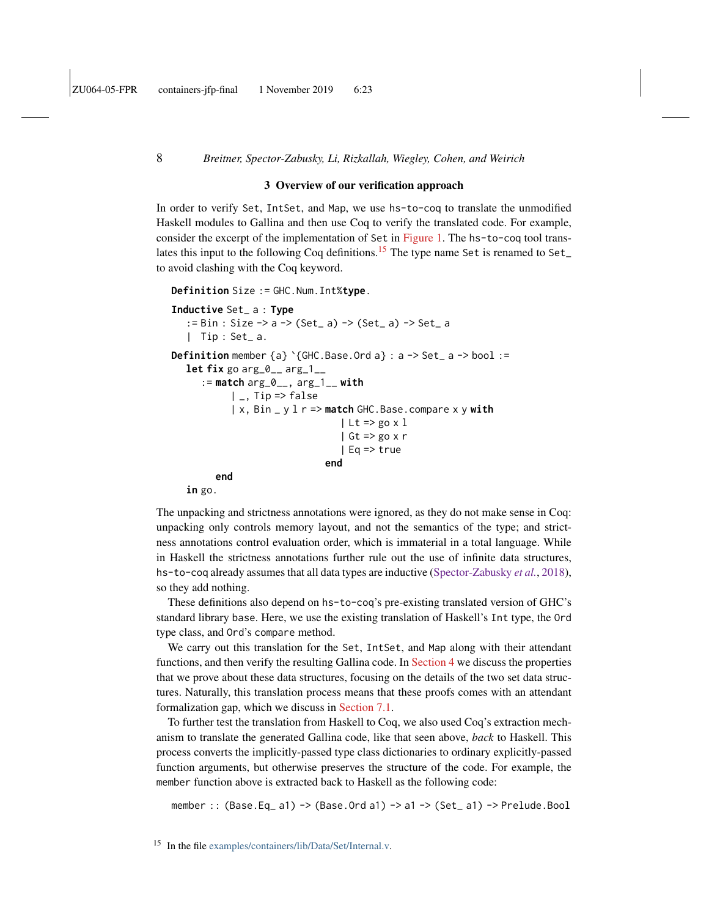#### 3 Overview of our verification approach

In order to verify Set, IntSet, and Map, we use hs-to-coq to translate the unmodified Haskell modules to Gallina and then use Coq to verify the translated code. For example, consider the excerpt of the implementation of Set in [Figure 1.](#page-4-0) The hs-to-coq tool trans-lates this input to the following Coq definitions.<sup>[15](#page-7-0)</sup> The type name Set is renamed to Set\_ to avoid clashing with the Coq keyword.

```
Definition Size := GHC.Num.Int%type.
```

```
Inductive Set_ a : Type
   := Bin : Size -> a -> (Set_ a) -> (Set_ a) -> Set_ a
   | Tip : Set_ a.
Definition member {a} `{GHC.Base.Ord a} : a -> Set_ a -> bool :=
   let fix go arg_0__ arg_1__
      := match arg_0__, arg_1__ with
           |, Tip => false
           | x, Bin _ y l r => match GHC.Base.compare x y with
                                 | Lt => \text{go } x 1| Gt => go x r
                                 | Eq => true
                              end
        end
   in go.
```
The unpacking and strictness annotations were ignored, as they do not make sense in Coq: unpacking only controls memory layout, and not the semantics of the type; and strictness annotations control evaluation order, which is immaterial in a total language. While in Haskell the strictness annotations further rule out the use of infinite data structures, hs-to-coq already assumes that all data types are inductive [\(Spector-Zabusky](#page-41-1) *et al.*, [2018\)](#page-41-1), so they add nothing.

These definitions also depend on hs-to-coq's pre-existing translated version of GHC's standard library base. Here, we use the existing translation of Haskell's Int type, the Ord type class, and Ord's compare method.

We carry out this translation for the Set, IntSet, and Map along with their attendant functions, and then verify the resulting Gallina code. In [Section 4](#page-9-0) we discuss the properties that we prove about these data structures, focusing on the details of the two set data structures. Naturally, this translation process means that these proofs comes with an attendant formalization gap, which we discuss in [Section 7.1.](#page-33-0)

To further test the translation from Haskell to Coq, we also used Coq's extraction mechanism to translate the generated Gallina code, like that seen above, *back* to Haskell. This process converts the implicitly-passed type class dictionaries to ordinary explicitly-passed function arguments, but otherwise preserves the structure of the code. For example, the member function above is extracted back to Haskell as the following code:

member :: (Base.Eq\_ a1) -> (Base.Ord a1) -> a1 -> (Set\_ a1) -> Prelude.Bool

<span id="page-7-0"></span><sup>15</sup> In the file [examples/containers/lib/Data/Set/Internal.v.](https://github.com/antalsz/hs-to-coq/blob/JFP-containers/examples/containers/lib/Data/Set/Internal.v)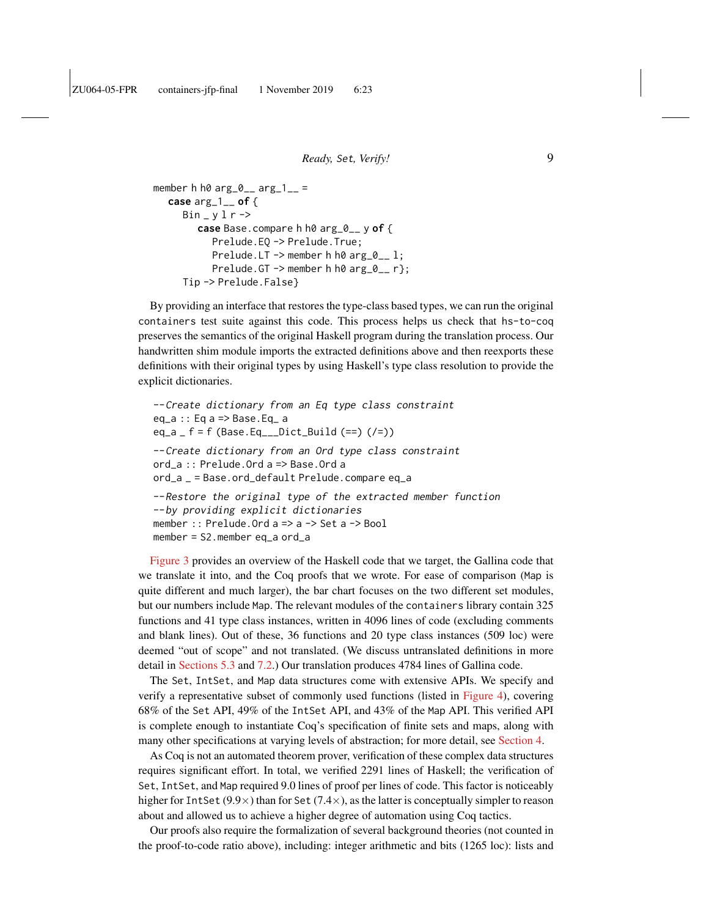```
member h h\theta arg\theta_{--} arg\theta_{--} =
   case arg_1__ of {
      Bin_y y l r \rightarrowcase Base.compare h h0 arg_0__ y of {
             Prelude.EQ -> Prelude.True;
             Prelude.LT \rightarrow member h h0 arg_0<sub>-</sub> l;
             Prelude.GT \rightarrow member h h0 arg_0 _{-} r};
      Tip -> Prelude.False}
```
By providing an interface that restores the type-class based types, we can run the original containers test suite against this code. This process helps us check that hs-to-coq preserves the semantics of the original Haskell program during the translation process. Our handwritten shim module imports the extracted definitions above and then reexports these definitions with their original types by using Haskell's type class resolution to provide the explicit dictionaries.

```
--Create dictionary from an Eq type class constraint
eq_a :: Eq a => Base.Eq_ a
eq_a f = f (Base.Eq___Dict_Build (==) (/=))
--Create dictionary from an Ord type class constraint
ord_a :: Prelude.Ord a => Base.Ord a
ord_a _ = Base.ord_default Prelude.compare eq_a
--Restore the original type of the extracted member function
--by providing explicit dictionaries
member :: Prelude.Ord a => a -> Set a -> Bool
member = S2.member eq_a ord_a
```
[Figure 3](#page-9-1) provides an overview of the Haskell code that we target, the Gallina code that we translate it into, and the Coq proofs that we wrote. For ease of comparison (Map is quite different and much larger), the bar chart focuses on the two different set modules, but our numbers include Map. The relevant modules of the containers library contain 325 functions and 41 type class instances, written in 4096 lines of code (excluding comments and blank lines). Out of these, 36 functions and 20 type class instances (509 loc) were deemed "out of scope" and not translated. (We discuss untranslated definitions in more detail in [Sections 5.3](#page-20-0) and [7.2.](#page-34-0)) Our translation produces 4784 lines of Gallina code.

The Set, IntSet, and Map data structures come with extensive APIs. We specify and verify a representative subset of commonly used functions (listed in [Figure 4\)](#page-10-0), covering 68% of the Set API, 49% of the IntSet API, and 43% of the Map API. This verified API is complete enough to instantiate Coq's specification of finite sets and maps, along with many other specifications at varying levels of abstraction; for more detail, see [Section 4.](#page-9-0)

As Coq is not an automated theorem prover, verification of these complex data structures requires significant effort. In total, we verified 2291 lines of Haskell; the verification of Set, IntSet, and Map required 9.0 lines of proof per lines of code. This factor is noticeably higher for IntSet (9.9 $\times$ ) than for Set (7.4 $\times$ ), as the latter is conceptually simpler to reason about and allowed us to achieve a higher degree of automation using Coq tactics.

Our proofs also require the formalization of several background theories (not counted in the proof-to-code ratio above), including: integer arithmetic and bits (1265 loc): lists and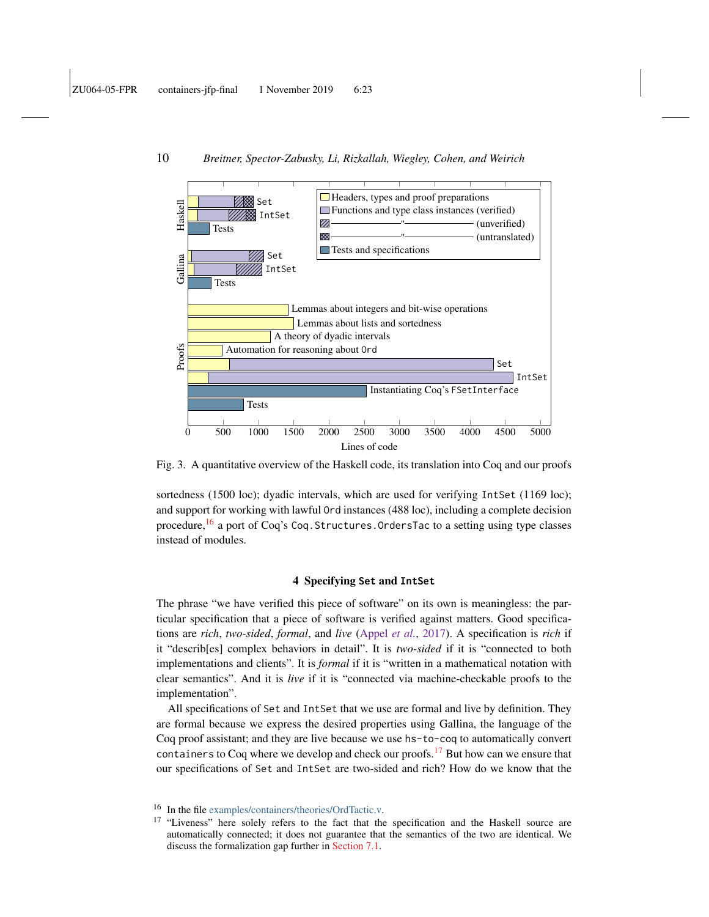

<span id="page-9-1"></span>Fig. 3. A quantitative overview of the Haskell code, its translation into Coq and our proofs

sortedness (1500 loc); dyadic intervals, which are used for verifying IntSet (1169 loc); and support for working with lawful Ord instances (488 loc), including a complete decision procedure,<sup>[16](#page-9-2)</sup> a port of Coq's Coq. Structures. OrdersTac to a setting using type classes instead of modules.

### 4 Specifying **Set** and **IntSet**

<span id="page-9-0"></span>The phrase "we have verified this piece of software" on its own is meaningless: the particular specification that a piece of software is verified against matters. Good specifications are *rich*, *two-sided*, *formal*, and *live* [\(Appel](#page-39-3) *et al.*, [2017\)](#page-39-3). A specification is *rich* if it "describ[es] complex behaviors in detail". It is *two-sided* if it is "connected to both implementations and clients". It is *formal* if it is "written in a mathematical notation with clear semantics". And it is *live* if it is "connected via machine-checkable proofs to the implementation".

All specifications of Set and IntSet that we use are formal and live by definition. They are formal because we express the desired properties using Gallina, the language of the Coq proof assistant; and they are live because we use hs-to-coq to automatically convert containers to Coq where we develop and check our proofs.<sup>[17](#page-9-3)</sup> But how can we ensure that our specifications of Set and IntSet are two-sided and rich? How do we know that the

<span id="page-9-2"></span><sup>16</sup> In the file [examples/containers/theories/OrdTactic.v.](https://github.com/antalsz/hs-to-coq/blob/JFP-containers/examples/containers/theories/OrdTactic.v)

<span id="page-9-3"></span><sup>&</sup>lt;sup>17</sup> "Liveness" here solely refers to the fact that the specification and the Haskell source are automatically connected; it does not guarantee that the semantics of the two are identical. We discuss the formalization gap further in [Section 7.1.](#page-33-0)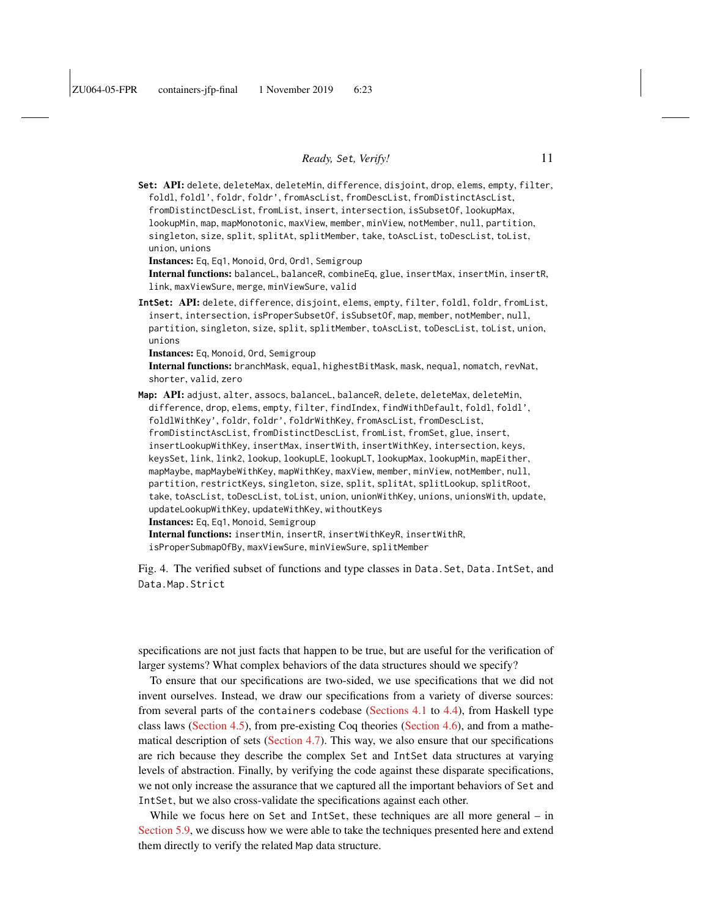**Set**: API: delete, deleteMax, deleteMin, difference, disjoint, drop, elems, empty, filter, foldl, foldl', foldr, foldr', fromAscList, fromDescList, fromDistinctAscList, fromDistinctDescList, fromList, insert, intersection, isSubsetOf, lookupMax, lookupMin, map, mapMonotonic, maxView, member, minView, notMember, null, partition, singleton, size, split, splitAt, splitMember, take, toAscList, toDescList, toList, union, unions Instances: Eq, Eq1, Monoid, Ord, Ord1, Semigroup Internal functions: balanceL, balanceR, combineEq, glue, insertMax, insertMin, insertR, link, maxViewSure, merge, minViewSure, valid **IntSet**: API: delete, difference, disjoint, elems, empty, filter, foldl, foldr, fromList, insert, intersection, isProperSubsetOf, isSubsetOf, map, member, notMember, null, partition, singleton, size, split, splitMember, toAscList, toDescList, toList, union, unions Instances: Eq, Monoid, Ord, Semigroup Internal functions: branchMask, equal, highestBitMask, mask, nequal, nomatch, revNat, shorter, valid, zero Map: API: adjust, alter, assocs, balanceL, balanceR, delete, deleteMax, deleteMin, difference, drop, elems, empty, filter, findIndex, findWithDefault, foldl, foldl', foldlWithKey', foldr, foldr', foldrWithKey, fromAscList, fromDescList, fromDistinctAscList, fromDistinctDescList, fromList, fromSet, glue, insert, insertLookupWithKey, insertMax, insertWith, insertWithKey, intersection, keys, keysSet, link, link2, lookup, lookupLE, lookupLT, lookupMax, lookupMin, mapEither, mapMaybe, mapMaybeWithKey, mapWithKey, maxView, member, minView, notMember, null, partition, restrictKeys, singleton, size, split, splitAt, splitLookup, splitRoot,

take, toAscList, toDescList, toList, union, unionWithKey, unions, unionsWith, update, updateLookupWithKey, updateWithKey, withoutKeys

Instances: Eq, Eq1, Monoid, Semigroup

Internal functions: insertMin, insertR, insertWithKeyR, insertWithR,

<span id="page-10-0"></span>isProperSubmapOfBy, maxViewSure, minViewSure, splitMember

Fig. 4. The verified subset of functions and type classes in Data.Set, Data.IntSet, and Data.Map.Strict

specifications are not just facts that happen to be true, but are useful for the verification of larger systems? What complex behaviors of the data structures should we specify?

To ensure that our specifications are two-sided, we use specifications that we did not invent ourselves. Instead, we draw our specifications from a variety of diverse sources: from several parts of the containers codebase [\(Sections 4.1](#page-11-0) to [4.4\)](#page-13-0), from Haskell type class laws [\(Section 4.5\)](#page-14-0), from pre-existing Coq theories [\(Section 4.6\)](#page-15-0), and from a mathematical description of sets [\(Section 4.7\)](#page-16-0). This way, we also ensure that our specifications are rich because they describe the complex Set and IntSet data structures at varying levels of abstraction. Finally, by verifying the code against these disparate specifications, we not only increase the assurance that we captured all the important behaviors of Set and IntSet, but we also cross-validate the specifications against each other.

While we focus here on Set and IntSet, these techniques are all more general – in [Section 5.9,](#page-28-0) we discuss how we were able to take the techniques presented here and extend them directly to verify the related Map data structure.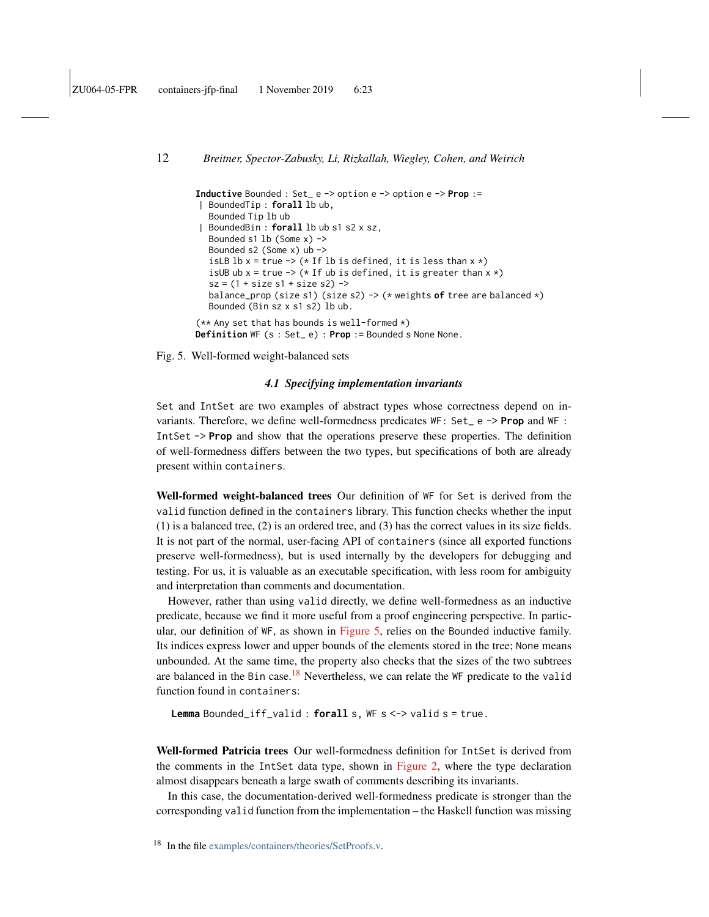```
Inductive Bounded : Set_ e -> option e -> option e -> Prop :=
| BoundedTip : forall lb ub,
  Bounded Tip lb ub
| BoundedBin : forall lb ub s1 s2 x sz,
  Bounded s1 lb (Some x) ->
  Bounded s2 (Some x) ub ->
  isLB lb x = true \rightarrow (*1f lb is defined, it is less than x *)
  isUB ub x = true \rightarrow (* If ub is defined, it is greater than x *)
  sz = (1 + size s1 + size s2) ->
  balance_prop (size s1) (size s2) -> (* weights of tree are balanced *)
  Bounded (Bin sz x s1 s2) lb ub.
(** Any set that has bounds is well-formed *)
Definition WF (s : Set_ e) : Prop := Bounded s None None.
```
<span id="page-11-1"></span>Fig. 5. Well-formed weight-balanced sets

### *4.1 Specifying implementation invariants*

<span id="page-11-0"></span>Set and IntSet are two examples of abstract types whose correctness depend on invariants. Therefore, we define well-formedness predicates WF: Set\_ e -> **Prop** and WF : IntSet -> **Prop** and show that the operations preserve these properties. The definition of well-formedness differs between the two types, but specifications of both are already present within containers.

Well-formed weight-balanced trees Our definition of WF for Set is derived from the valid function defined in the containers library. This function checks whether the input (1) is a balanced tree, (2) is an ordered tree, and (3) has the correct values in its size fields. It is not part of the normal, user-facing API of containers (since all exported functions preserve well-formedness), but is used internally by the developers for debugging and testing. For us, it is valuable as an executable specification, with less room for ambiguity and interpretation than comments and documentation.

However, rather than using valid directly, we define well-formedness as an inductive predicate, because we find it more useful from a proof engineering perspective. In particular, our definition of WF, as shown in [Figure 5,](#page-11-1) relies on the Bounded inductive family. Its indices express lower and upper bounds of the elements stored in the tree; None means unbounded. At the same time, the property also checks that the sizes of the two subtrees are balanced in the Bin case.<sup>[18](#page-11-2)</sup> Nevertheless, we can relate the WF predicate to the valid function found in containers:

**Lemma** Bounded\_iff\_valid : **forall** s, WF s <-> valid s = true.

Well-formed Patricia trees Our well-formedness definition for IntSet is derived from the comments in the IntSet data type, shown in [Figure 2,](#page-5-0) where the type declaration almost disappears beneath a large swath of comments describing its invariants.

In this case, the documentation-derived well-formedness predicate is stronger than the corresponding valid function from the implementation – the Haskell function was missing

<span id="page-11-2"></span><sup>&</sup>lt;sup>18</sup> In the file [examples/containers/theories/SetProofs.v.](https://github.com/antalsz/hs-to-coq/blob/JFP-containers/examples/containers/theories/SetProofs.v)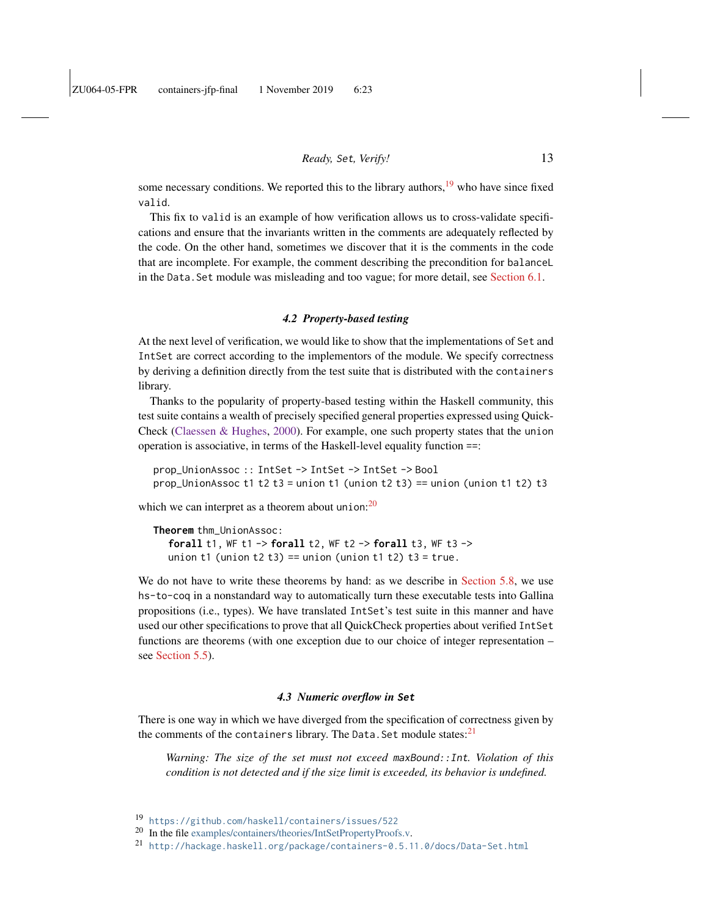some necessary conditions. We reported this to the library authors, $19$  who have since fixed valid.

This fix to valid is an example of how verification allows us to cross-validate specifications and ensure that the invariants written in the comments are adequately reflected by the code. On the other hand, sometimes we discover that it is the comments in the code that are incomplete. For example, the comment describing the precondition for balanceL in the Data.Set module was misleading and too vague; for more detail, see [Section 6.1.](#page-29-1)

# *4.2 Property-based testing*

<span id="page-12-3"></span>At the next level of verification, we would like to show that the implementations of Set and IntSet are correct according to the implementors of the module. We specify correctness by deriving a definition directly from the test suite that is distributed with the containers library.

Thanks to the popularity of property-based testing within the Haskell community, this test suite contains a wealth of precisely specified general properties expressed using Quick-Check [\(Claessen & Hughes,](#page-40-1) [2000\)](#page-40-1). For example, one such property states that the union operation is associative, in terms of the Haskell-level equality function ==:

prop\_UnionAssoc :: IntSet -> IntSet -> IntSet -> Bool prop\_UnionAssoc t1 t2 t3 = union t1 (union t2 t3) == union (union t1 t2) t3

which we can interpret as a theorem about union: $^{20}$  $^{20}$  $^{20}$ 

**Theorem** thm\_UnionAssoc: **forall** t1, WF t1 -> **forall** t2, WF t2 -> **forall** t3, WF t3 -> union t1 (union t2 t3) == union (union t1 t2) t3 = true.

We do not have to write these theorems by hand: as we describe in [Section 5.8,](#page-26-0) we use hs-to-coq in a nonstandard way to automatically turn these executable tests into Gallina propositions (i.e., types). We have translated IntSet's test suite in this manner and have used our other specifications to prove that all QuickCheck properties about verified IntSet functions are theorems (with one exception due to our choice of integer representation – see [Section 5.5\)](#page-21-0).

#### *4.3 Numeric overflow in* **Set**

There is one way in which we have diverged from the specification of correctness given by the comments of the containers library. The Data. Set module states: $2<sup>1</sup>$ 

*Warning: The size of the set must not exceed* maxBound::Int*. Violation of this condition is not detected and if the size limit is exceeded, its behavior is undefined.*

<span id="page-12-0"></span><sup>19</sup> <https://github.com/haskell/containers/issues/522>

<span id="page-12-1"></span><sup>&</sup>lt;sup>20</sup> In the file [examples/containers/theories/IntSetPropertyProofs.v.](https://github.com/antalsz/hs-to-coq/blob/JFP-containers/examples/containers/theories/IntSetPropertyProofs.v)

<span id="page-12-2"></span><sup>21</sup> <http://hackage.haskell.org/package/containers-0.5.11.0/docs/Data-Set.html>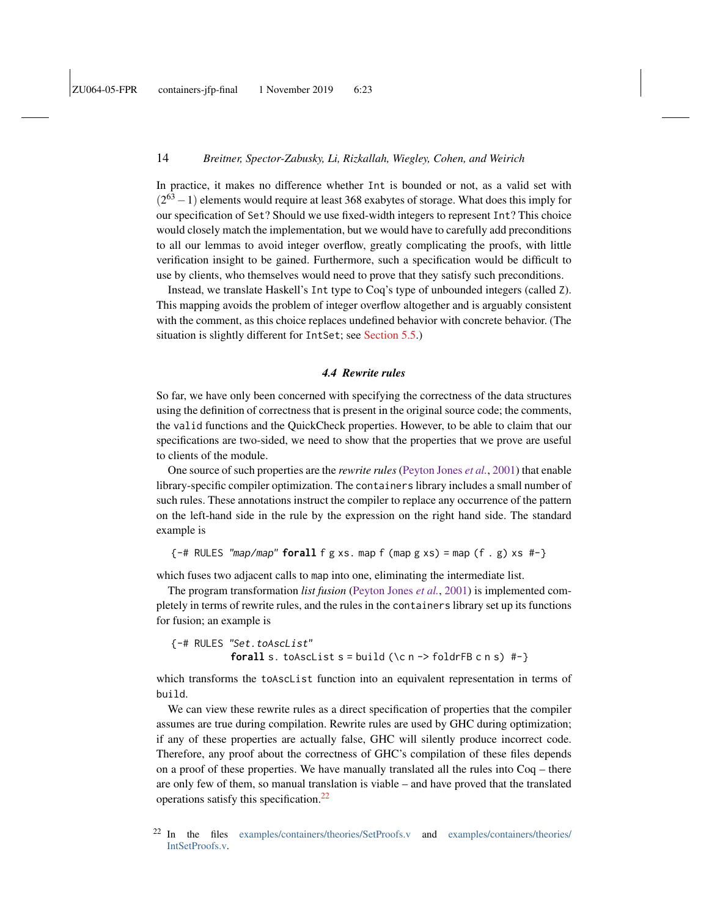In practice, it makes no difference whether Int is bounded or not, as a valid set with  $(2^{63} - 1)$  elements would require at least 368 exabytes of storage. What does this imply for our specification of Set? Should we use fixed-width integers to represent Int? This choice would closely match the implementation, but we would have to carefully add preconditions to all our lemmas to avoid integer overflow, greatly complicating the proofs, with little verification insight to be gained. Furthermore, such a specification would be difficult to use by clients, who themselves would need to prove that they satisfy such preconditions.

Instead, we translate Haskell's Int type to Coq's type of unbounded integers (called Z). This mapping avoids the problem of integer overflow altogether and is arguably consistent with the comment, as this choice replaces undefined behavior with concrete behavior. (The situation is slightly different for IntSet; see [Section 5.5.](#page-21-0))

### *4.4 Rewrite rules*

<span id="page-13-0"></span>So far, we have only been concerned with specifying the correctness of the data structures using the definition of correctness that is present in the original source code; the comments, the valid functions and the QuickCheck properties. However, to be able to claim that our specifications are two-sided, we need to show that the properties that we prove are useful to clients of the module.

One source of such properties are the *rewrite rules* [\(Peyton Jones](#page-41-6) *et al.*, [2001\)](#page-41-6) that enable library-specific compiler optimization. The containers library includes a small number of such rules. These annotations instruct the compiler to replace any occurrence of the pattern on the left-hand side in the rule by the expression on the right hand side. The standard example is

 ${-}$ # RULES "map/map" **forall** f g xs. map f (map g xs) = map (f . g) xs #-}

which fuses two adjacent calls to map into one, eliminating the intermediate list.

The program transformation *list fusion* [\(Peyton Jones](#page-41-6) *et al.*, [2001\)](#page-41-6) is implemented completely in terms of rewrite rules, and the rules in the containers library set up its functions for fusion; an example is

{-# RULES "Set.toAscList" **forall** s. toAscList s = build (\c n -> foldrFB c n s) #-}

which transforms the toAscList function into an equivalent representation in terms of build.

We can view these rewrite rules as a direct specification of properties that the compiler assumes are true during compilation. Rewrite rules are used by GHC during optimization; if any of these properties are actually false, GHC will silently produce incorrect code. Therefore, any proof about the correctness of GHC's compilation of these files depends on a proof of these properties. We have manually translated all the rules into Coq – there are only few of them, so manual translation is viable – and have proved that the translated operations satisfy this specification.[22](#page-13-1)

<span id="page-13-1"></span><sup>22</sup> In the files [examples/containers/theories/SetProofs.v](https://github.com/antalsz/hs-to-coq/blob/JFP-containers/examples/containers/theories/SetProofs.v) and [examples/containers/theories/](https://github.com/antalsz/hs-to-coq/blob/JFP-containers/examples/containers/theories/IntSetProofs.v) [IntSetProofs.v.](https://github.com/antalsz/hs-to-coq/blob/JFP-containers/examples/containers/theories/IntSetProofs.v)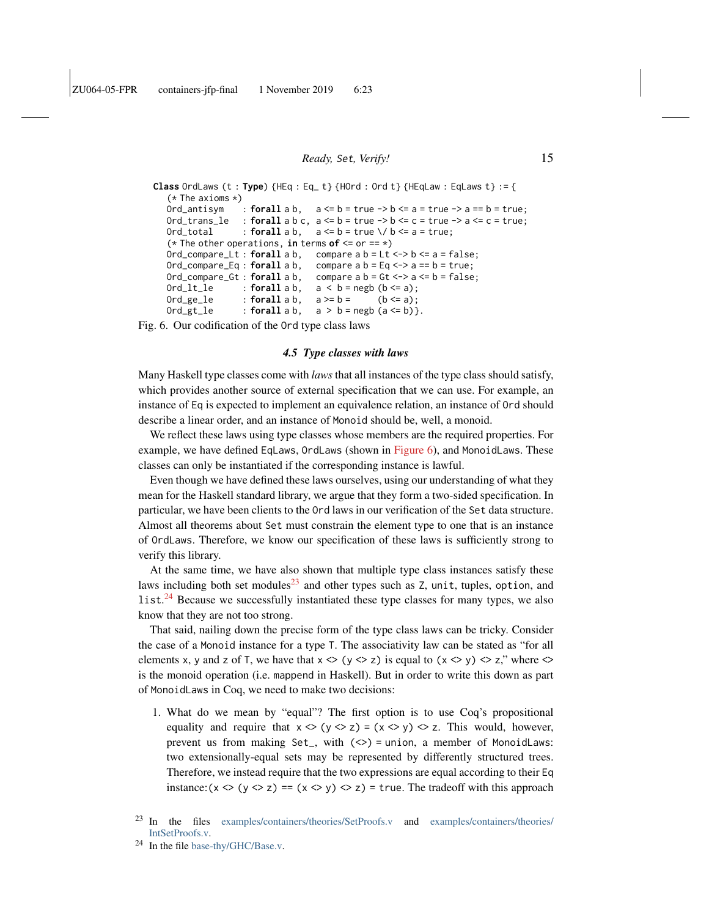```
Class OrdLaws (t : Type) {HEq : Eq_t} {Hord : Ord t} {HEqLaw : EqLaws t} := {(* The axioms *)
  Ord_antisym : for all a b, a \le b = true \ge b \le a = true \ge a == b = true;Ord_trans_le : forall a b c, a \le b = true \Rightarrow b \le c = true \Rightarrow a \le c = true;
  Ord_total : forall a b, a \le b = true \ \lor b \le a = true;
   (* The other operations, in terms of \leq or == *)
  Ord_compare_Lt : forall a b, compare a b = Lt <-> b <= a = false;
  Ord_compare_Eq : forall a b, compare a b = Eq \le -\ge a == b = true;
  Ord_compare_Gt : forall a b, compare a b = Gt \leq a \leq b = false;
  Ord_1t_1e : \textbf{forall } a b, a < b = \text{negb } (b \leq a);Ord_ge_le : \text{for all } a b, \quad a \geq b = (b \leq a);Ord_gt_le : forall : for all a b, a > b = negb (a <= b) }.
```
<span id="page-14-1"></span>Fig. 6. Our codification of the Ord type class laws

### *4.5 Type classes with laws*

<span id="page-14-0"></span>Many Haskell type classes come with *laws* that all instances of the type class should satisfy, which provides another source of external specification that we can use. For example, an instance of Eq is expected to implement an equivalence relation, an instance of Ord should describe a linear order, and an instance of Monoid should be, well, a monoid.

We reflect these laws using type classes whose members are the required properties. For example, we have defined EqLaws, OrdLaws (shown in [Figure 6\)](#page-14-1), and MonoidLaws. These classes can only be instantiated if the corresponding instance is lawful.

Even though we have defined these laws ourselves, using our understanding of what they mean for the Haskell standard library, we argue that they form a two-sided specification. In particular, we have been clients to the Ord laws in our verification of the Set data structure. Almost all theorems about Set must constrain the element type to one that is an instance of OrdLaws. Therefore, we know our specification of these laws is sufficiently strong to verify this library.

At the same time, we have also shown that multiple type class instances satisfy these laws including both set modules $^{23}$  $^{23}$  $^{23}$  and other types such as Z, unit, tuples, option, and  $list.^{24}$  $list.^{24}$  $list.^{24}$  Because we successfully instantiated these type classes for many types, we also know that they are not too strong.

That said, nailing down the precise form of the type class laws can be tricky. Consider the case of a Monoid instance for a type T. The associativity law can be stated as "for all elements x, y and z of T, we have that  $x \le (y \le z)$  is equal to  $(x \le y) \le z$ ," where  $\le$ is the monoid operation (i.e. mappend in Haskell). But in order to write this down as part of MonoidLaws in Coq, we need to make two decisions:

1. What do we mean by "equal"? The first option is to use Coq's propositional equality and require that  $x \leq (y \leq z) = (x \leq y) \leq z$ . This would, however, prevent us from making  $Set_$ , with  $(\le)$  = union, a member of MonoidLaws: two extensionally-equal sets may be represented by differently structured trees. Therefore, we instead require that the two expressions are equal according to their Eq instance:  $(x \le (y \le z) == (x \le y) \le z) = true$ . The tradeoff with this approach

<span id="page-14-2"></span><sup>23</sup> In the files [examples/containers/theories/SetProofs.v](https://github.com/antalsz/hs-to-coq/blob/JFP-containers/examples/containers/theories/SetProofs.v) and [examples/containers/theories/](https://github.com/antalsz/hs-to-coq/blob/JFP-containers/examples/containers/theories/IntSetProofs.v) [IntSetProofs.v.](https://github.com/antalsz/hs-to-coq/blob/JFP-containers/examples/containers/theories/IntSetProofs.v)

<span id="page-14-3"></span><sup>24</sup> In the file [base-thy/GHC/Base.v.](https://github.com/antalsz/hs-to-coq/blob/JFP-containers/base-thy/GHC/Base.v)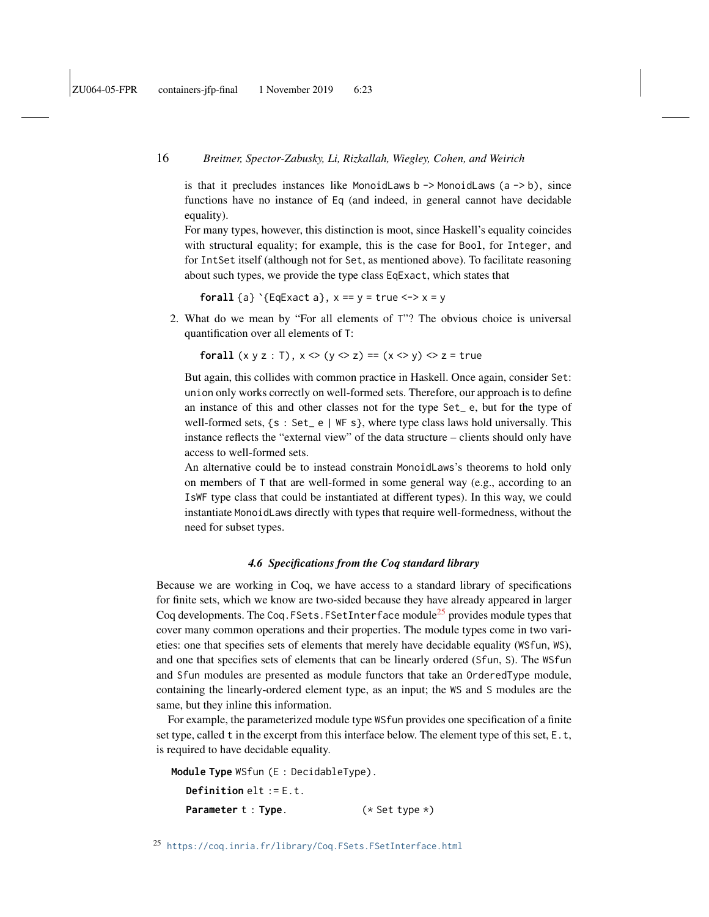is that it precludes instances like MonoidLaws  $b \rightarrow$  MonoidLaws (a  $\rightarrow$  b), since functions have no instance of Eq (and indeed, in general cannot have decidable equality).

For many types, however, this distinction is moot, since Haskell's equality coincides with structural equality; for example, this is the case for Bool, for Integer, and for IntSet itself (although not for Set, as mentioned above). To facilitate reasoning about such types, we provide the type class EqExact, which states that

**forall** {a}  $\{EqExact\ a\}$ ,  $x == y = true \iff x = y$ 

2. What do we mean by "For all elements of T"? The obvious choice is universal quantification over all elements of T:

**forall**  $(x \ y \ z : T)$ ,  $x \Leftrightarrow (y \Leftrightarrow z) == (x \Leftrightarrow y) \Leftrightarrow z = true$ 

But again, this collides with common practice in Haskell. Once again, consider Set: union only works correctly on well-formed sets. Therefore, our approach is to define an instance of this and other classes not for the type Set\_ e, but for the type of well-formed sets,  $\{s : \text{Set}_{e} \mid \text{WF } s\}$ , where type class laws hold universally. This instance reflects the "external view" of the data structure – clients should only have access to well-formed sets.

An alternative could be to instead constrain MonoidLaws's theorems to hold only on members of T that are well-formed in some general way (e.g., according to an IsWF type class that could be instantiated at different types). In this way, we could instantiate MonoidLaws directly with types that require well-formedness, without the need for subset types.

### *4.6 Specifications from the Coq standard library*

<span id="page-15-0"></span>Because we are working in Coq, we have access to a standard library of specifications for finite sets, which we know are two-sided because they have already appeared in larger Coq developments. The Coq. FSets. FSetInterface module<sup>[25](#page-15-1)</sup> provides module types that cover many common operations and their properties. The module types come in two varieties: one that specifies sets of elements that merely have decidable equality (WSfun, WS), and one that specifies sets of elements that can be linearly ordered (Sfun, S). The WSfun and Sfun modules are presented as module functors that take an OrderedType module, containing the linearly-ordered element type, as an input; the WS and S modules are the same, but they inline this information.

For example, the parameterized module type WSfun provides one specification of a finite set type, called t in the excerpt from this interface below. The element type of this set, E.t, is required to have decidable equality.

<span id="page-15-1"></span>**Module Type** WSfun (E : DecidableType). **Definition** elt := E.t. **Parameter** t : **Type**. (\* Set type \*)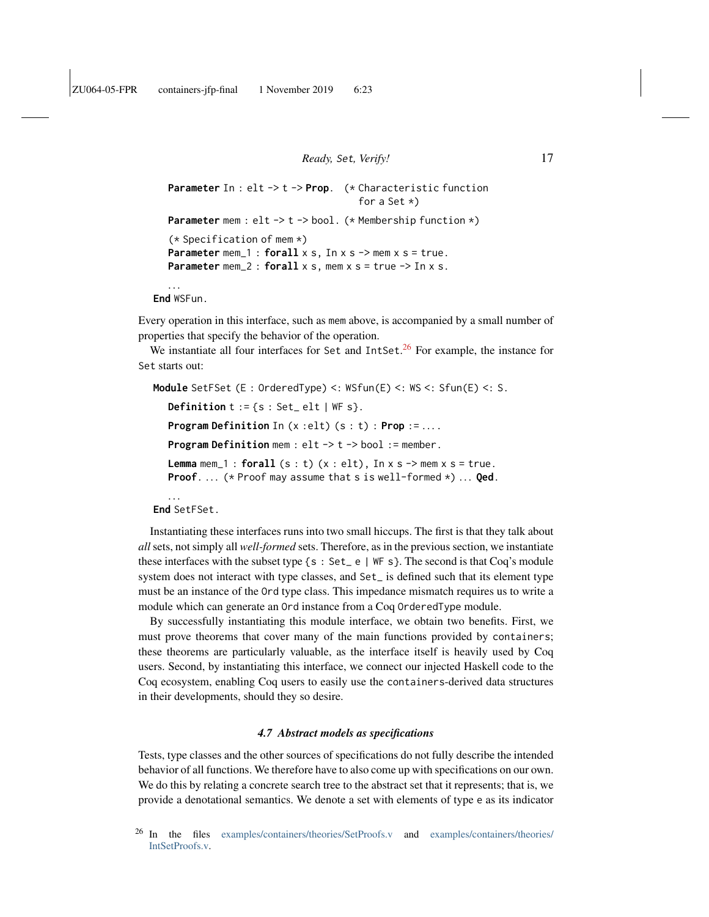```
Parameter In : elt -> t -> Prop. (* Characteristic function
                                        for a Set \star)
Parameter mem : elt -> t -> bool. (* Membership function *)
(* Specification of mem *)
Parameter mem_1 : forall x s, In x s -> mem x s = true.
Parameter mem<sub>_2: forall x s, mem x s = true \rightarrow In x s.</sub>
```

```
. . .
End WSFun.
```
Every operation in this interface, such as mem above, is accompanied by a small number of properties that specify the behavior of the operation.

We instantiate all four interfaces for Set and IntSet.<sup>[26](#page-16-1)</sup> For example, the instance for Set starts out:

```
Module SetFSet (E : OrderedType) <: WSfun(E) <: WS <: Sfun(E) <: S.
   Definition t := \{s : Set{\text{let}} | \text{WF } s\}.Program Definition In (x :elt) (s : t) : Prop := . . . .
   Program Definition mem : elt -> t -> bool := member.
   Lemma mem_1 : forall(s : t) (x : eIt), In x s \rightarrow mem x s = true.
   Proof. ... (* Proof may assume that s is well-formed *) ... Qed.
   . . .
```

```
End SetFSet.
```
Instantiating these interfaces runs into two small hiccups. The first is that they talk about *all* sets, not simply all *well-formed* sets. Therefore, as in the previous section, we instantiate these interfaces with the subset type  $\{s : \text{Set}_e \mid \text{WF } s\}$ . The second is that Coq's module system does not interact with type classes, and Set\_ is defined such that its element type must be an instance of the Ord type class. This impedance mismatch requires us to write a module which can generate an Ord instance from a Coq OrderedType module.

By successfully instantiating this module interface, we obtain two benefits. First, we must prove theorems that cover many of the main functions provided by containers; these theorems are particularly valuable, as the interface itself is heavily used by Coq users. Second, by instantiating this interface, we connect our injected Haskell code to the Coq ecosystem, enabling Coq users to easily use the containers-derived data structures in their developments, should they so desire.

#### *4.7 Abstract models as specifications*

<span id="page-16-0"></span>Tests, type classes and the other sources of specifications do not fully describe the intended behavior of all functions. We therefore have to also come up with specifications on our own. We do this by relating a concrete search tree to the abstract set that it represents; that is, we provide a denotational semantics. We denote a set with elements of type e as its indicator

<span id="page-16-1"></span><sup>26</sup> In the files [examples/containers/theories/SetProofs.v](https://github.com/antalsz/hs-to-coq/blob/JFP-containers/examples/containers/theories/SetProofs.v) and [examples/containers/theories/](https://github.com/antalsz/hs-to-coq/blob/JFP-containers/examples/containers/theories/IntSetProofs.v) [IntSetProofs.v.](https://github.com/antalsz/hs-to-coq/blob/JFP-containers/examples/containers/theories/IntSetProofs.v)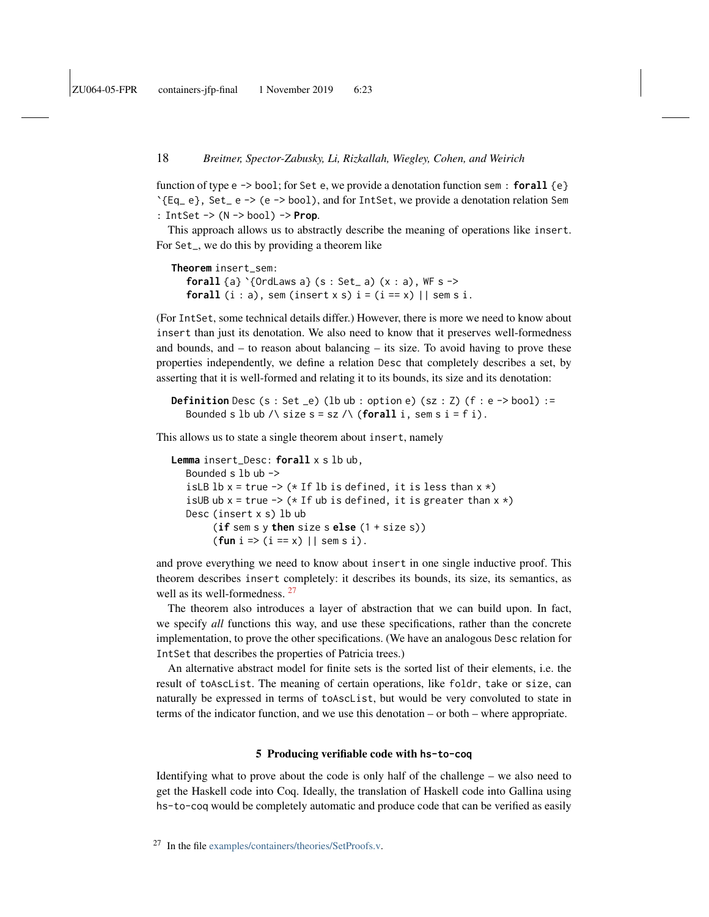function of type e -> bool; for Set e, we provide a denotation function sem : **forall** {e} `{Eq\_ e}, Set\_ e -> (e -> bool), and for IntSet, we provide a denotation relation Sem : IntSet -> (N -> bool) -> **Prop**.

This approach allows us to abstractly describe the meaning of operations like insert. For Set\_, we do this by providing a theorem like

```
Theorem insert_sem:
   forall {a} `{OrdLaws a} (s : Set_ a) (x : a), WF s ->
   forall (i : a), sem (insert x s) i = (i == x) || sem s i.
```
(For IntSet, some technical details differ.) However, there is more we need to know about insert than just its denotation. We also need to know that it preserves well-formedness and bounds, and  $-$  to reason about balancing  $-$  its size. To avoid having to prove these properties independently, we define a relation Desc that completely describes a set, by asserting that it is well-formed and relating it to its bounds, its size and its denotation:

```
Definition Desc (s : Set _e) (lb ub : option e) (sz : Z) (f : e -> bool) :=
   Bounded s lb ub /\ size s = sz /\ (for all i, sem s i = f i).
```
This allows us to state a single theorem about insert, namely

```
Lemma insert_Desc: forall x s lb ub,
   Bounded s 1b ub \rightarrowisLB lb x = true \rightarrow (* If lb is defined, it is less than x *)
   isUB ub x = true \rightarrow (* 1f ub is defined, it is greater than x *)
   Desc (insert x s) lb ub
         (if sem s y then size s else (1 + size s))
         (fun i => (i == x) || sem s i).
```
and prove everything we need to know about insert in one single inductive proof. This theorem describes insert completely: it describes its bounds, its size, its semantics, as well as its well-formedness. <sup>[27](#page-17-1)</sup>

The theorem also introduces a layer of abstraction that we can build upon. In fact, we specify *all* functions this way, and use these specifications, rather than the concrete implementation, to prove the other specifications. (We have an analogous Desc relation for IntSet that describes the properties of Patricia trees.)

An alternative abstract model for finite sets is the sorted list of their elements, i.e. the result of toAscList. The meaning of certain operations, like foldr, take or size, can naturally be expressed in terms of toAscList, but would be very convoluted to state in terms of the indicator function, and we use this denotation – or both – where appropriate.

#### 5 Producing verifiable code with **hs-to-coq**

<span id="page-17-0"></span>Identifying what to prove about the code is only half of the challenge – we also need to get the Haskell code into Coq. Ideally, the translation of Haskell code into Gallina using hs-to-coq would be completely automatic and produce code that can be verified as easily

<span id="page-17-1"></span><sup>27</sup> In the file [examples/containers/theories/SetProofs.v.](https://github.com/antalsz/hs-to-coq/blob/JFP-containers/examples/containers/theories/SetProofs.v)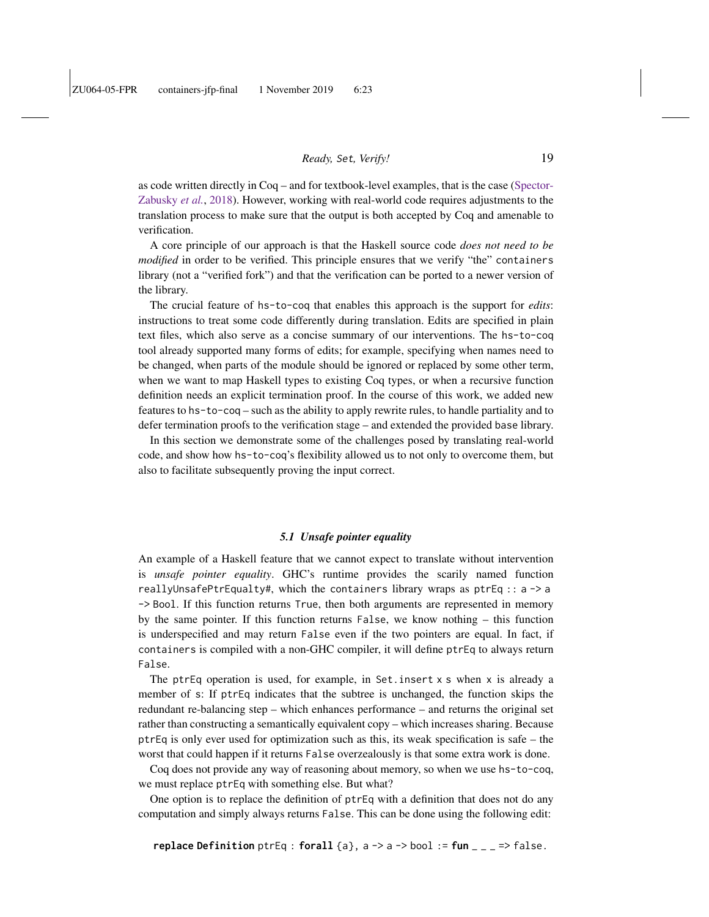as code written directly in Coq – and for textbook-level examples, that is the case [\(Spector-](#page-41-1)[Zabusky](#page-41-1) *et al.*, [2018\)](#page-41-1). However, working with real-world code requires adjustments to the translation process to make sure that the output is both accepted by Coq and amenable to verification.

A core principle of our approach is that the Haskell source code *does not need to be modified* in order to be verified. This principle ensures that we verify "the" containers library (not a "verified fork") and that the verification can be ported to a newer version of the library.

The crucial feature of hs-to-coq that enables this approach is the support for *edits*: instructions to treat some code differently during translation. Edits are specified in plain text files, which also serve as a concise summary of our interventions. The hs-to-coq tool already supported many forms of edits; for example, specifying when names need to be changed, when parts of the module should be ignored or replaced by some other term, when we want to map Haskell types to existing Coq types, or when a recursive function definition needs an explicit termination proof. In the course of this work, we added new features to hs-to-coq – such as the ability to apply rewrite rules, to handle partiality and to defer termination proofs to the verification stage – and extended the provided base library.

In this section we demonstrate some of the challenges posed by translating real-world code, and show how hs-to-coq's flexibility allowed us to not only to overcome them, but also to facilitate subsequently proving the input correct.

#### *5.1 Unsafe pointer equality*

<span id="page-18-0"></span>An example of a Haskell feature that we cannot expect to translate without intervention is *unsafe pointer equality*. GHC's runtime provides the scarily named function reallyUnsafePtrEqualty#, which the containers library wraps as  $ptrEq :: a \rightarrow a$ -> Bool. If this function returns True, then both arguments are represented in memory by the same pointer. If this function returns False, we know nothing – this function is underspecified and may return False even if the two pointers are equal. In fact, if containers is compiled with a non-GHC compiler, it will define ptrEq to always return False.

The ptrEq operation is used, for example, in Set.insert x s when x is already a member of s: If ptrEq indicates that the subtree is unchanged, the function skips the redundant re-balancing step – which enhances performance – and returns the original set rather than constructing a semantically equivalent copy – which increases sharing. Because ptrEq is only ever used for optimization such as this, its weak specification is safe – the worst that could happen if it returns False overzealously is that some extra work is done.

Coq does not provide any way of reasoning about memory, so when we use hs-to-coq, we must replace ptrEq with something else. But what?

One option is to replace the definition of ptrEq with a definition that does not do any computation and simply always returns False. This can be done using the following edit: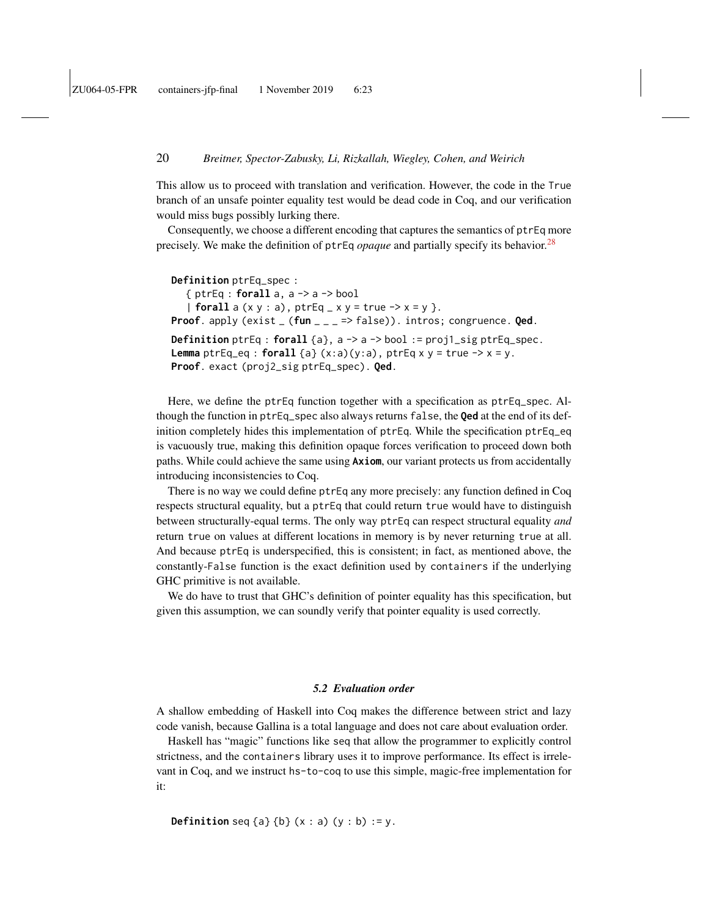This allow us to proceed with translation and verification. However, the code in the True branch of an unsafe pointer equality test would be dead code in Coq, and our verification would miss bugs possibly lurking there.

Consequently, we choose a different encoding that captures the semantics of ptrEq more precisely. We make the definition of ptrEq *opaque* and partially specify its behavior.<sup>[28](#page-20-1)</sup>

```
Definition ptrEq_spec :
   { ptrEq : forall a, a -> a -> bool
   | forall a (x, y : a), ptrEq_x x y = true \rightarrow x = y }.
Proof. apply (exist _ (fun _ _ _ => false)). intros; congruence. Qed.
Definition ptrEq : forall {a}, a -> a -> bool := proj1_sig ptrEq_spec.
Lemma ptrEq<sub>eq</sub> : forall {a} (x:a)(y:a), ptrEq x y = true \rightarrow x = y.
Proof. exact (proj2_sig ptrEq_spec). Qed.
```
Here, we define the ptrEq function together with a specification as ptrEq\_spec. Although the function in ptrEq\_spec also always returns false, the **Qed** at the end of its definition completely hides this implementation of ptrEq. While the specification ptrEq\_eq is vacuously true, making this definition opaque forces verification to proceed down both paths. While could achieve the same using **Axiom**, our variant protects us from accidentally introducing inconsistencies to Coq.

There is no way we could define ptrEq any more precisely: any function defined in Coq respects structural equality, but a ptrEq that could return true would have to distinguish between structurally-equal terms. The only way ptrEq can respect structural equality *and* return true on values at different locations in memory is by never returning true at all. And because ptrEq is underspecified, this is consistent; in fact, as mentioned above, the constantly-False function is the exact definition used by containers if the underlying GHC primitive is not available.

We do have to trust that GHC's definition of pointer equality has this specification, but given this assumption, we can soundly verify that pointer equality is used correctly.

### *5.2 Evaluation order*

<span id="page-19-0"></span>A shallow embedding of Haskell into Coq makes the difference between strict and lazy code vanish, because Gallina is a total language and does not care about evaluation order.

Haskell has "magic" functions like seq that allow the programmer to explicitly control strictness, and the containers library uses it to improve performance. Its effect is irrelevant in Coq, and we instruct hs-to-coq to use this simple, magic-free implementation for it:

**Definition** seq  $\{a\}$   $\{b\}$   $(x : a)$   $(y : b) := y$ .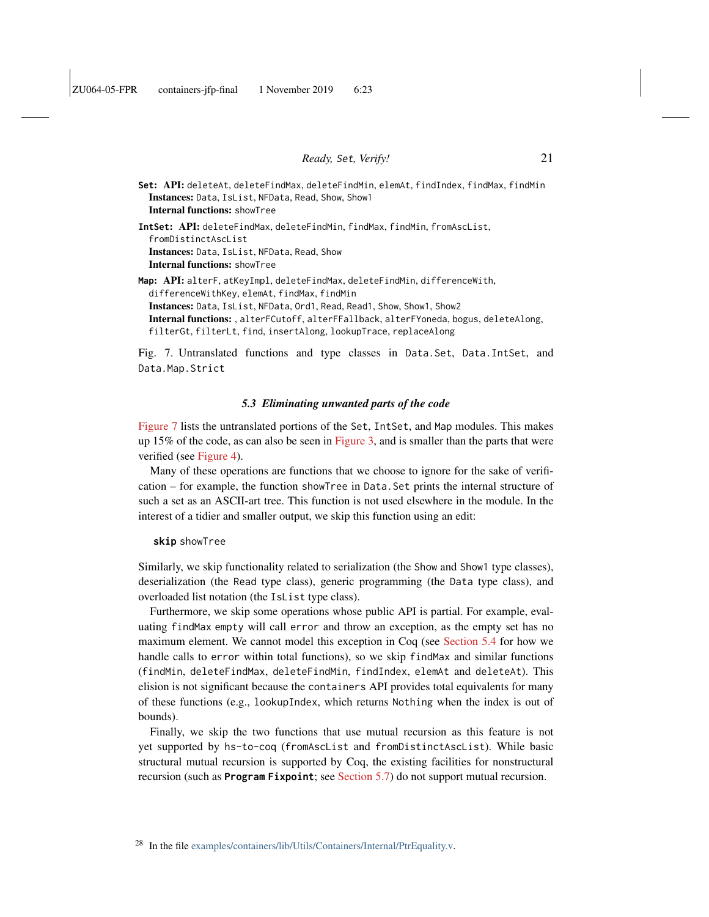**Set**: API: deleteAt, deleteFindMax, deleteFindMin, elemAt, findIndex, findMax, findMin Instances: Data, IsList, NFData, Read, Show, Show1 Internal functions: showTree **IntSet**: API: deleteFindMax, deleteFindMin, findMax, findMin, fromAscList, fromDistinctAscList Instances: Data, IsList, NFData, Read, Show Internal functions: showTree **Map**: API: alterF, atKeyImpl, deleteFindMax, deleteFindMin, differenceWith, differenceWithKey, elemAt, findMax, findMin Instances: Data, IsList, NFData, Ord1, Read, Read1, Show, Show1, Show2 Internal functions: , alterFCutoff, alterFFallback, alterFYoneda, bogus, deleteAlong,

<span id="page-20-2"></span>filterGt, filterLt, find, insertAlong, lookupTrace, replaceAlong

Fig. 7. Untranslated functions and type classes in Data.Set, Data.IntSet, and Data.Map.Strict

### *5.3 Eliminating unwanted parts of the code*

<span id="page-20-0"></span>[Figure 7](#page-20-2) lists the untranslated portions of the Set, IntSet, and Map modules. This makes up 15% of the code, as can also be seen in [Figure 3,](#page-9-1) and is smaller than the parts that were verified (see [Figure 4\)](#page-10-0).

Many of these operations are functions that we choose to ignore for the sake of verification – for example, the function showTree in Data.Set prints the internal structure of such a set as an ASCII-art tree. This function is not used elsewhere in the module. In the interest of a tidier and smaller output, we skip this function using an edit:

#### **skip** showTree

Similarly, we skip functionality related to serialization (the Show and Show1 type classes), deserialization (the Read type class), generic programming (the Data type class), and overloaded list notation (the IsList type class).

Furthermore, we skip some operations whose public API is partial. For example, evaluating findMax empty will call error and throw an exception, as the empty set has no maximum element. We cannot model this exception in Coq (see [Section 5.4](#page-21-1) for how we handle calls to error within total functions), so we skip findMax and similar functions (findMin, deleteFindMax, deleteFindMin, findIndex, elemAt and deleteAt). This elision is not significant because the containers API provides total equivalents for many of these functions (e.g., lookupIndex, which returns Nothing when the index is out of bounds).

Finally, we skip the two functions that use mutual recursion as this feature is not yet supported by hs-to-coq (fromAscList and fromDistinctAscList). While basic structural mutual recursion is supported by Coq, the existing facilities for nonstructural recursion (such as **Program Fixpoint**; see [Section 5.7\)](#page-24-0) do not support mutual recursion.

<span id="page-20-1"></span><sup>28</sup> In the file [examples/containers/lib/Utils/Containers/Internal/PtrEquality.v.](https://github.com/antalsz/hs-to-coq/blob/JFP-containers/examples/containers/lib/Utils/Containers/Internal/PtrEquality.v)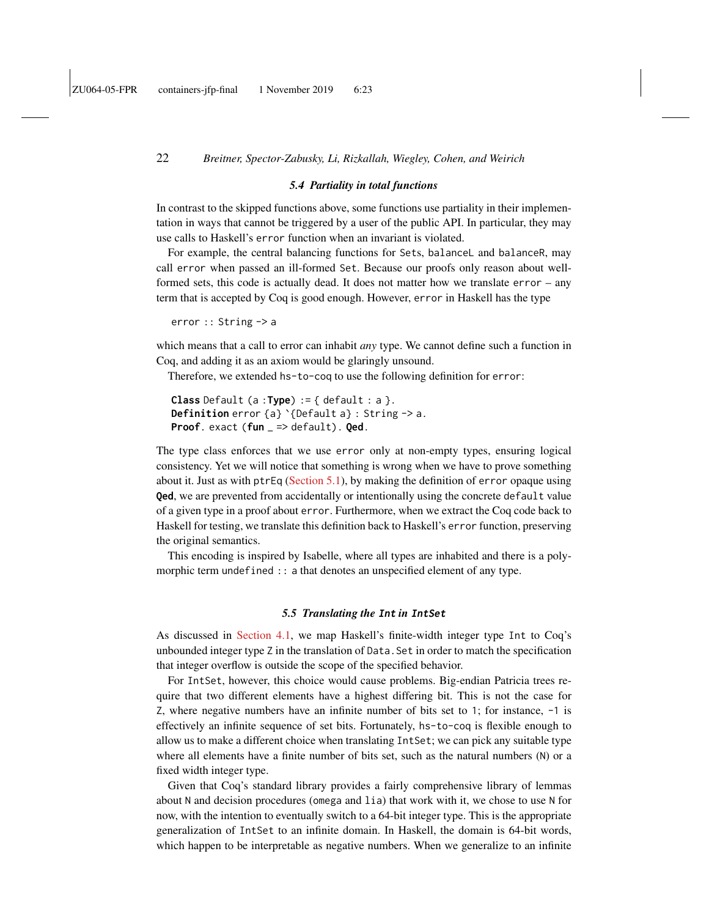#### *5.4 Partiality in total functions*

<span id="page-21-1"></span>In contrast to the skipped functions above, some functions use partiality in their implementation in ways that cannot be triggered by a user of the public API. In particular, they may use calls to Haskell's error function when an invariant is violated.

For example, the central balancing functions for Sets, balanceL and balanceR, may call error when passed an ill-formed Set. Because our proofs only reason about wellformed sets, this code is actually dead. It does not matter how we translate error – any term that is accepted by Coq is good enough. However, error in Haskell has the type

error :: String -> a

which means that a call to error can inhabit *any* type. We cannot define such a function in Coq, and adding it as an axiom would be glaringly unsound.

Therefore, we extended hs-to-coq to use the following definition for error:

**Class** Default (a :**Type**) := { default : a }. **Definition** error {a} `{Default a} : String -> a. **Proof**. exact (**fun** \_ => default). **Qed**.

The type class enforces that we use error only at non-empty types, ensuring logical consistency. Yet we will notice that something is wrong when we have to prove something about it. Just as with ptrEq [\(Section 5.1\)](#page-18-0), by making the definition of error opaque using **Qed**, we are prevented from accidentally or intentionally using the concrete default value of a given type in a proof about error. Furthermore, when we extract the Coq code back to Haskell for testing, we translate this definition back to Haskell's error function, preserving the original semantics.

This encoding is inspired by Isabelle, where all types are inhabited and there is a polymorphic term undefined :: a that denotes an unspecified element of any type.

### *5.5 Translating the* **Int** *in* **IntSet**

<span id="page-21-0"></span>As discussed in [Section 4.1,](#page-11-0) we map Haskell's finite-width integer type Int to Coq's unbounded integer type Z in the translation of Data.Set in order to match the specification that integer overflow is outside the scope of the specified behavior.

For IntSet, however, this choice would cause problems. Big-endian Patricia trees require that two different elements have a highest differing bit. This is not the case for Z, where negative numbers have an infinite number of bits set to 1; for instance, -1 is effectively an infinite sequence of set bits. Fortunately, hs-to-coq is flexible enough to allow us to make a different choice when translating IntSet; we can pick any suitable type where all elements have a finite number of bits set, such as the natural numbers (N) or a fixed width integer type.

Given that Coq's standard library provides a fairly comprehensive library of lemmas about N and decision procedures (omega and lia) that work with it, we chose to use N for now, with the intention to eventually switch to a 64-bit integer type. This is the appropriate generalization of IntSet to an infinite domain. In Haskell, the domain is 64-bit words, which happen to be interpretable as negative numbers. When we generalize to an infinite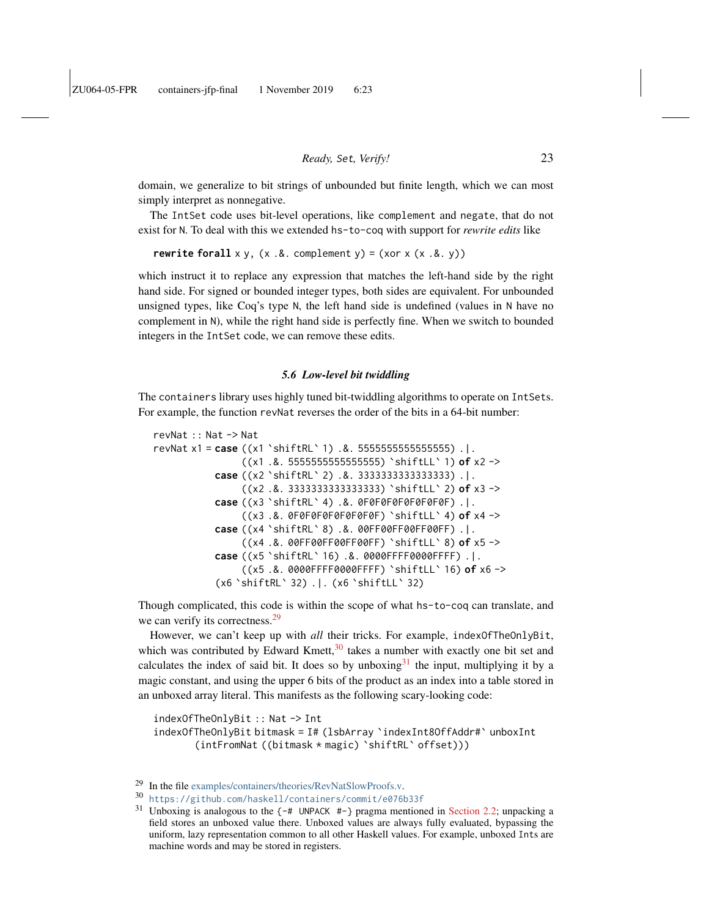domain, we generalize to bit strings of unbounded but finite length, which we can most simply interpret as nonnegative.

The IntSet code uses bit-level operations, like complement and negate, that do not exist for N. To deal with this we extended hs-to-coq with support for *rewrite edits* like

**rewrite forall**  $x y$ ,  $(x .&x$ . complement  $y) = (x 0 x x (x .&x y))$ 

which instruct it to replace any expression that matches the left-hand side by the right hand side. For signed or bounded integer types, both sides are equivalent. For unbounded unsigned types, like Coq's type N, the left hand side is undefined (values in N have no complement in N), while the right hand side is perfectly fine. When we switch to bounded integers in the IntSet code, we can remove these edits.

#### *5.6 Low-level bit twiddling*

The containers library uses highly tuned bit-twiddling algorithms to operate on IntSets. For example, the function revNat reverses the order of the bits in a 64-bit number:

```
revNat :: Nat -> Nat
revNat x1 = case ((x1 `shiftRL` 1) .&. 5555555555555555) .|.
                ((x1 .&. 5555555555555555) `shiftLL` 1) of x2 ->
           case ((x2 `shiftRL` 2) .&. 3333333333333333) .|.
                ((x2 .&. 3333333333333333) `shiftLL` 2) of x3 ->
           case ((x3 `shiftRL` 4) .&. 0F0F0F0F0F0F0F0F) .|.
                ((x3 .&. 0F0F0F0F0F0F0F0F) `shiftLL` 4) of x4 ->
           case ((x4 `shiftRL` 8) .&. 00FF00FF00FF00FF) .|.
                ((x4 .&. 00FF00FF00FF00FF) `shiftLL` 8) of x5 ->
           case ((x5 `shiftRL` 16) .&. 0000FFFF0000FFFF) .|.
                ((x5 .&. 0000FFFF0000FFFF) `shiftLL` 16) of x6 ->
           (x6 `shiftRL` 32) .|. (x6 `shiftLL` 32)
```
Though complicated, this code is within the scope of what hs-to-coq can translate, and we can verify its correctness.<sup>[29](#page-22-0)</sup>

However, we can't keep up with *all* their tricks. For example, indexOfTheOnlyBit, which was contributed by Edward Kmett, $30$  takes a number with exactly one bit set and calculates the index of said bit. It does so by unboxing  $31$  the input, multiplying it by a magic constant, and using the upper 6 bits of the product as an index into a table stored in an unboxed array literal. This manifests as the following scary-looking code:

indexOfTheOnlyBit :: Nat -> Int indexOfTheOnlyBit bitmask = I# (lsbArray `indexInt8OffAddr#` unboxInt (intFromNat ((bitmask \* magic) `shiftRL` offset)))

<span id="page-22-0"></span><sup>29</sup> In the file [examples/containers/theories/RevNatSlowProofs.v.](https://github.com/antalsz/hs-to-coq/blob/JFP-containers/examples/containers/theories/RevNatSlowProofs.v)

<span id="page-22-1"></span><sup>30</sup> <https://github.com/haskell/containers/commit/e076b33f>

<span id="page-22-2"></span><sup>&</sup>lt;sup>31</sup> Unboxing is analogous to the  $\{-\#$  UNPACK  $\#$ - $\}$  pragma mentioned in [Section 2.2;](#page-4-1) unpacking a field stores an unboxed value there. Unboxed values are always fully evaluated, bypassing the uniform, lazy representation common to all other Haskell values. For example, unboxed Ints are machine words and may be stored in registers.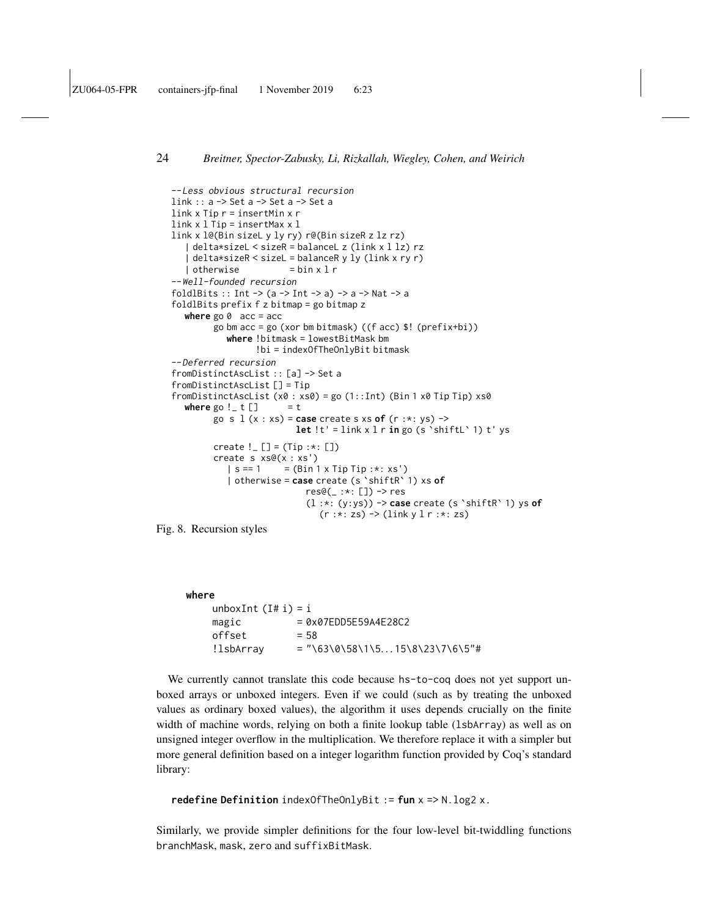```
--Less obvious structural recursion
link :: a -> Set a -> Set a -> Set a
link \times Tip r = insertMin \times rlink x l Tip = insertMax x l
link x l@(Bin sizeL y ly ry) r@(Bin sizeR z lz rz)
   | delta*sizeL < sizeR = balanceL z (link x l lz) rz
    delta*sizeR < sizeL = balanceR y ly (link x ry r)| otherwise = bin x 1 r--Well-founded recursion
foldlBits :: Int \rightarrow (a \rightarrow Int \rightarrow a) \rightarrow a \rightarrow Nat \rightarrow a
foldlBits prefix f z bitmap = go bitmap z
  where go 0 acc = acc
         go bm acc = go (xor bm bitmask) ((f acc) $! (prefix+bi))
            where !bitmask = lowestBitMask bm
                   !bi = indexOfTheOnlyBit bitmask
--Deferred recursion
fromDistinctAscList :: [a] -> Set a
fromDistinctAscList [] = Tip
fromDistinctAscList (x0 : xs0) = go(1::Int) (Bin 1 x0 Tip Tip) xs0where go != t [] = tgo s l (x : xs) = case create s xs of (r :*: ys) ->
                           let !t' = link x l r in go (s `shiftL` 1) t' ys
         create ! \_ [ ] = (Tip :*: [ ])
         create s xs@(x : xs')
            | s == 1 = (Bin 1 x Tip Tip : *: xs')
            | otherwise = case create (s `shiftR` 1) xs of
                              res@(\_ :*: [\ ]) \rightarrow res(l :*: (y:ys)) -> case create (s `shiftR` 1) ys of
                                 (r : * : zs) \rightarrow (link y l r : * : zs)
```
<span id="page-23-0"></span>Fig. 8. Recursion styles

```
where
    unboxInt (I# i) = imagic = 0x07EDD5E59A4E28C2offset = 58
    !lsbArray = "\\63\0\58\1\5...15\8\23\7\6\5"#
```
We currently cannot translate this code because hs-to-coq does not yet support unboxed arrays or unboxed integers. Even if we could (such as by treating the unboxed values as ordinary boxed values), the algorithm it uses depends crucially on the finite width of machine words, relying on both a finite lookup table (lsbArray) as well as on unsigned integer overflow in the multiplication. We therefore replace it with a simpler but more general definition based on a integer logarithm function provided by Coq's standard library:

**redefine Definition** indexOfTheOnlyBit := **fun** x => N.log2 x.

Similarly, we provide simpler definitions for the four low-level bit-twiddling functions branchMask, mask, zero and suffixBitMask.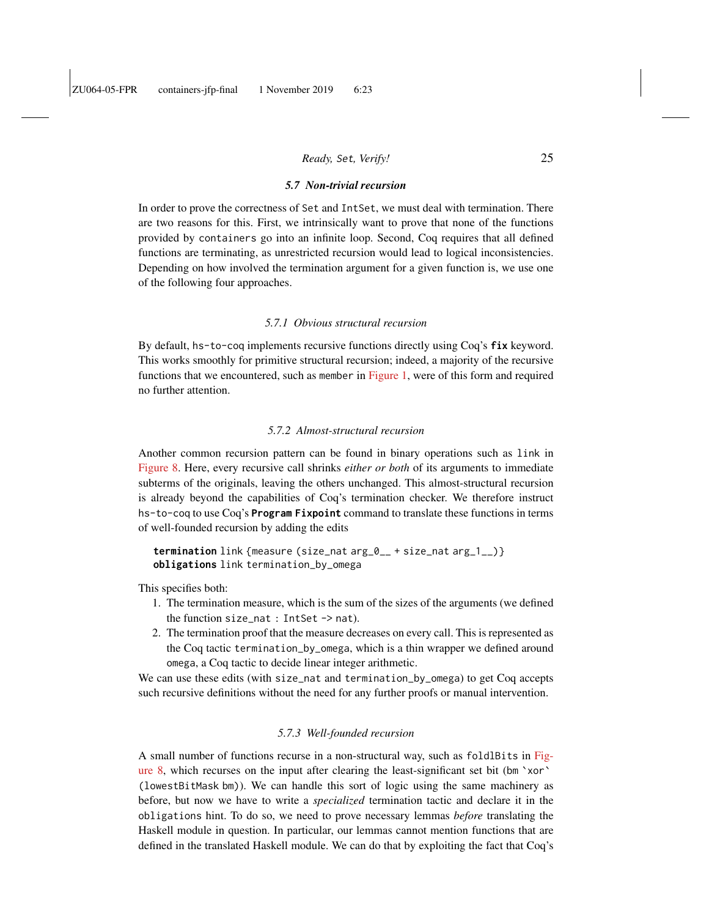### *5.7 Non-trivial recursion*

<span id="page-24-0"></span>In order to prove the correctness of Set and IntSet, we must deal with termination. There are two reasons for this. First, we intrinsically want to prove that none of the functions provided by containers go into an infinite loop. Second, Coq requires that all defined functions are terminating, as unrestricted recursion would lead to logical inconsistencies. Depending on how involved the termination argument for a given function is, we use one of the following four approaches.

#### *5.7.1 Obvious structural recursion*

By default, hs-to-coq implements recursive functions directly using Coq's **fix** keyword. This works smoothly for primitive structural recursion; indeed, a majority of the recursive functions that we encountered, such as member in [Figure 1,](#page-4-0) were of this form and required no further attention.

#### *5.7.2 Almost-structural recursion*

Another common recursion pattern can be found in binary operations such as link in [Figure 8.](#page-23-0) Here, every recursive call shrinks *either or both* of its arguments to immediate subterms of the originals, leaving the others unchanged. This almost-structural recursion is already beyond the capabilities of Coq's termination checker. We therefore instruct hs-to-coq to use Coq's **Program Fixpoint** command to translate these functions in terms of well-founded recursion by adding the edits

**termination** link {measure (size\_nat arg\_0\_\_ + size\_nat arg\_1\_\_)} **obligations** link termination\_by\_omega

This specifies both:

- 1. The termination measure, which is the sum of the sizes of the arguments (we defined the function size\_nat : IntSet -> nat).
- 2. The termination proof that the measure decreases on every call. This is represented as the Coq tactic termination\_by\_omega, which is a thin wrapper we defined around omega, a Coq tactic to decide linear integer arithmetic.

We can use these edits (with size\_nat and termination\_by\_omega) to get Coq accepts such recursive definitions without the need for any further proofs or manual intervention.

#### *5.7.3 Well-founded recursion*

A small number of functions recurse in a non-structural way, such as foldlBits in [Fig](#page-23-0)[ure 8,](#page-23-0) which recurses on the input after clearing the least-significant set bit (bm `xor` (lowestBitMask bm)). We can handle this sort of logic using the same machinery as before, but now we have to write a *specialized* termination tactic and declare it in the obligations hint. To do so, we need to prove necessary lemmas *before* translating the Haskell module in question. In particular, our lemmas cannot mention functions that are defined in the translated Haskell module. We can do that by exploiting the fact that Coq's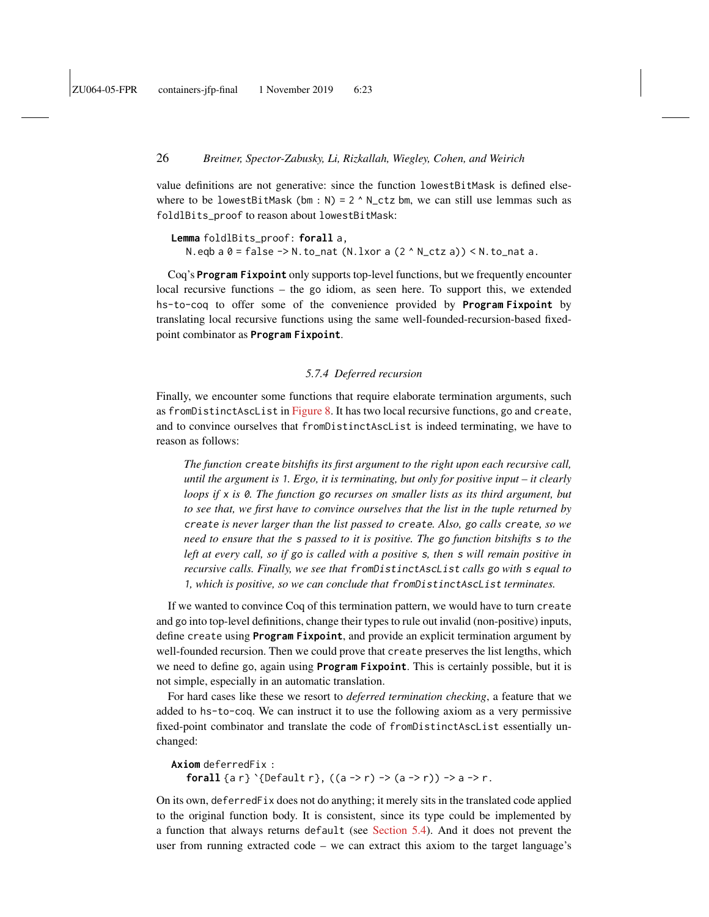value definitions are not generative: since the function lowestBitMask is defined elsewhere to be lowestBitMask (bm : N) =  $2 \wedge N_{\text{ctz}}$  bm, we can still use lemmas such as foldlBits\_proof to reason about lowestBitMask:

**Lemma** foldlBits\_proof: **forall** a, N.eqb a  $0 = false \rightarrow N.to_nat$  (N.lxor a  $(2 \land N_cta)$ ) < N.to\_nat a.

Coq's **Program Fixpoint** only supports top-level functions, but we frequently encounter local recursive functions – the go idiom, as seen here. To support this, we extended hs-to-coq to offer some of the convenience provided by **Program Fixpoint** by translating local recursive functions using the same well-founded-recursion-based fixedpoint combinator as **Program Fixpoint**.

### *5.7.4 Deferred recursion*

<span id="page-25-0"></span>Finally, we encounter some functions that require elaborate termination arguments, such as fromDistinctAscList in [Figure 8.](#page-23-0) It has two local recursive functions, go and create, and to convince ourselves that fromDistinctAscList is indeed terminating, we have to reason as follows:

*The function* create *bitshifts its first argument to the right upon each recursive call, until the argument is* 1*. Ergo, it is terminating, but only for positive input – it clearly loops if* x *is* 0*. The function* go *recurses on smaller lists as its third argument, but to see that, we first have to convince ourselves that the list in the tuple returned by* create *is never larger than the list passed to* create*. Also,* go *calls* create*, so we need to ensure that the* s *passed to it is positive. The* go *function bitshifts* s *to the left at every call, so if* go *is called with a positive* s*, then* s *will remain positive in recursive calls. Finally, we see that* fromDistinctAscList *calls* go *with* s *equal to* 1*, which is positive, so we can conclude that* fromDistinctAscList *terminates.*

If we wanted to convince Coq of this termination pattern, we would have to turn create and go into top-level definitions, change their types to rule out invalid (non-positive) inputs, define create using **Program Fixpoint**, and provide an explicit termination argument by well-founded recursion. Then we could prove that create preserves the list lengths, which we need to define go, again using **Program Fixpoint**. This is certainly possible, but it is not simple, especially in an automatic translation.

For hard cases like these we resort to *deferred termination checking*, a feature that we added to hs-to-coq. We can instruct it to use the following axiom as a very permissive fixed-point combinator and translate the code of fromDistinctAscList essentially unchanged:

**Axiom** deferredFix : **forall** {a r} `{Default r},  $((a \rightarrow r) \rightarrow (a \rightarrow r)) \rightarrow a \rightarrow r$ .

On its own, deferredFix does not do anything; it merely sits in the translated code applied to the original function body. It is consistent, since its type could be implemented by a function that always returns default (see [Section 5.4\)](#page-21-1). And it does not prevent the user from running extracted code – we can extract this axiom to the target language's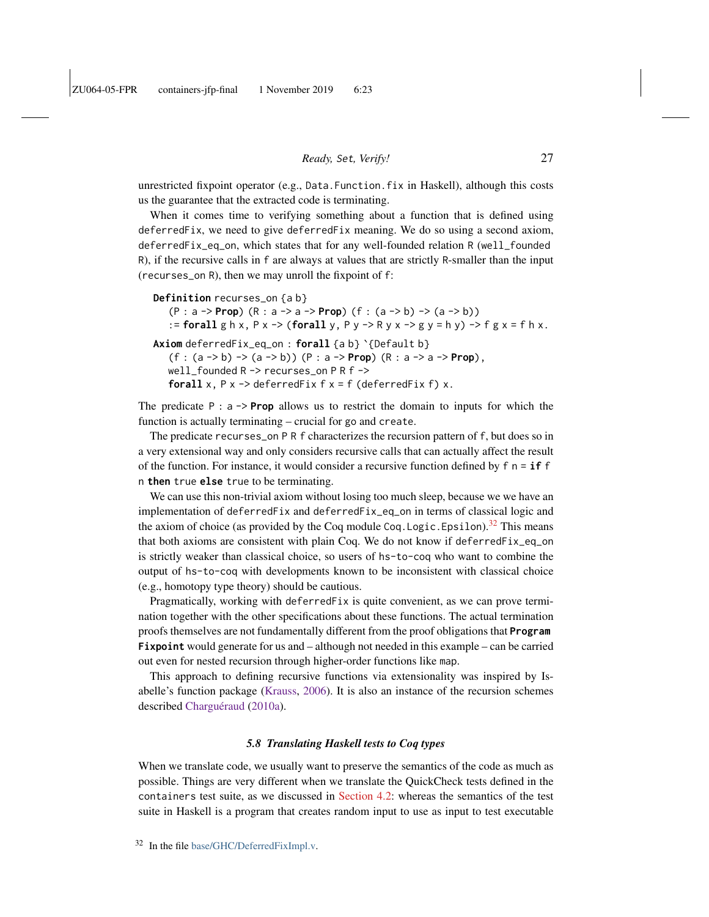unrestricted fixpoint operator (e.g., Data.Function.fix in Haskell), although this costs us the guarantee that the extracted code is terminating.

When it comes time to verifying something about a function that is defined using deferredFix, we need to give deferredFix meaning. We do so using a second axiom, deferredFix\_eq\_on, which states that for any well-founded relation R (well\_founded R), if the recursive calls in f are always at values that are strictly R-smaller than the input (recurses\_on R), then we may unroll the fixpoint of f:

```
Definition recurses_on {a b}
   (P : a -> Prop) (R : a -> a -> Prop) (f : (a -> b) -> (a -> b))
   := forall g h x, P x -> (forall y, P y -> R y x -> g y = h y) -> f g x = f h x.
Axiom deferredFix_eq_on : forall {a b} `{Default b}
   (f : (a -> b) -> (a -> b)) (P : a -> Prop) (R : a -> a -> Prop),
   well_founded R -> recurses_on P R f ->
   forall x, P x \rightarrow deferredFix f x = f (deferredFix f) x.
```
The predicate  $P : a \rightarrow Prop$  allows us to restrict the domain to inputs for which the function is actually terminating – crucial for go and create.

The predicate recurses\_on P R f characterizes the recursion pattern of f, but does so in a very extensional way and only considers recursive calls that can actually affect the result of the function. For instance, it would consider a recursive function defined by  $f \nvert n = \mathbf{if} f$ n **then** true **else** true to be terminating.

We can use this non-trivial axiom without losing too much sleep, because we we have an implementation of deferredFix and deferredFix\_eq\_on in terms of classical logic and the axiom of choice (as provided by the Coq module Coq.Logic.Epsilon).<sup>[32](#page-26-1)</sup> This means that both axioms are consistent with plain Coq. We do not know if deferredFix\_eq\_on is strictly weaker than classical choice, so users of hs-to-coq who want to combine the output of hs-to-coq with developments known to be inconsistent with classical choice (e.g., homotopy type theory) should be cautious.

Pragmatically, working with deferredFix is quite convenient, as we can prove termination together with the other specifications about these functions. The actual termination proofs themselves are not fundamentally different from the proof obligations that **Program Fixpoint** would generate for us and – although not needed in this example – can be carried out even for nested recursion through higher-order functions like map.

This approach to defining recursive functions via extensionality was inspired by Isabelle's function package [\(Krauss,](#page-40-2) [2006\)](#page-40-2). It is also an instance of the recursion schemes described [Charguéraud](#page-39-4) [\(2010a\)](#page-39-4).

### *5.8 Translating Haskell tests to Coq types*

<span id="page-26-1"></span><span id="page-26-0"></span>When we translate code, we usually want to preserve the semantics of the code as much as possible. Things are very different when we translate the QuickCheck tests defined in the containers test suite, as we discussed in [Section 4.2:](#page-12-3) whereas the semantics of the test suite in Haskell is a program that creates random input to use as input to test executable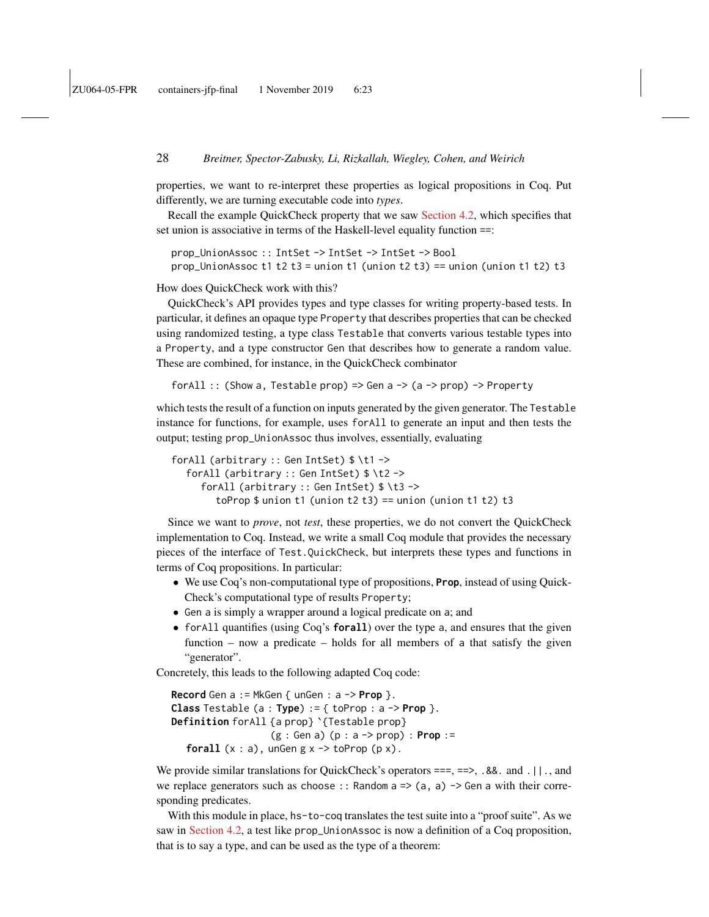properties, we want to re-interpret these properties as logical propositions in Coq. Put differently, we are turning executable code into *types*.

Recall the example QuickCheck property that we saw [Section 4.2,](#page-12-3) which specifies that set union is associative in terms of the Haskell-level equality function ==:

prop\_UnionAssoc :: IntSet -> IntSet -> IntSet -> Bool prop\_UnionAssoc t1 t2 t3 = union t1 (union t2 t3) == union (union t1 t2) t3

How does QuickCheck work with this?

QuickCheck's API provides types and type classes for writing property-based tests. In particular, it defines an opaque type Property that describes properties that can be checked using randomized testing, a type class Testable that converts various testable types into a Property, and a type constructor Gen that describes how to generate a random value. These are combined, for instance, in the QuickCheck combinator

forAll :: (Show a, Testable prop) => Gen a  $\rightarrow$  (a  $\rightarrow$  prop) -> Property

which tests the result of a function on inputs generated by the given generator. The Testable instance for functions, for example, uses forAll to generate an input and then tests the output; testing prop\_UnionAssoc thus involves, essentially, evaluating

```
forAll (arbitrary :: Gen IntSet) $ \t1 ->
  forAll (arbitrary :: Gen IntSet) $ \t2 ->
     forAll (arbitrary :: Gen IntSet) $ \t3 ->
        toProp $ union t1 (union t2 t3) == union (union t1 t2) t3
```
Since we want to *prove*, not *test*, these properties, we do not convert the QuickCheck implementation to Coq. Instead, we write a small Coq module that provides the necessary pieces of the interface of Test.QuickCheck, but interprets these types and functions in terms of Coq propositions. In particular:

- We use Coq's non-computational type of propositions, **Prop**, instead of using Quick-Check's computational type of results Property;
- Gen a is simply a wrapper around a logical predicate on a; and
- forAll quantifies (using Coq's **forall**) over the type a, and ensures that the given function – now a predicate – holds for all members of a that satisfy the given "generator".

Concretely, this leads to the following adapted Coq code:

```
Record Gen a := MkGen { unGen : a -> Prop }.
Class Testable (a : Type) := { toProp : a -> Prop }.
Definition forAll {a prop} '{Testable prop}
                    (g : Gen a) (p : a -> prop) : Prop :=
   forall (x : a), ungen g \times \neg > to Prop (p \times).
```
We provide similar translations for QuickCheck's operators  $==, ==, -.$  8.8. and .  $||.$ , and we replace generators such as choose :: Random  $a \Rightarrow (a, a) \Rightarrow$  Gen a with their corresponding predicates.

With this module in place, hs-to-coq translates the test suite into a "proof suite". As we saw in [Section 4.2,](#page-12-3) a test like prop\_UnionAssoc is now a definition of a Coq proposition, that is to say a type, and can be used as the type of a theorem: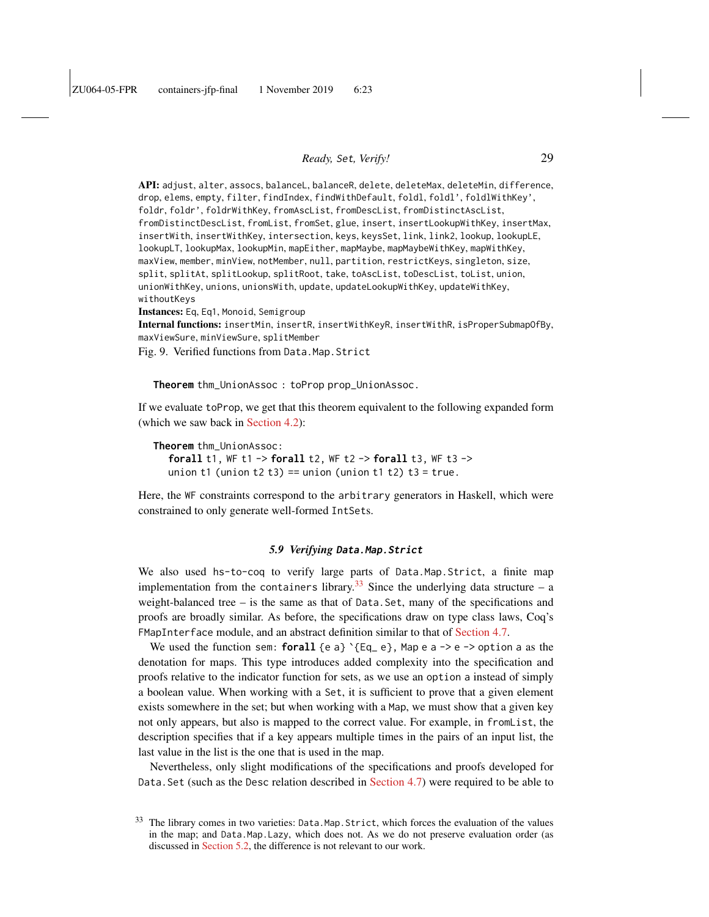API: adjust, alter, assocs, balanceL, balanceR, delete, deleteMax, deleteMin, difference, drop, elems, empty, filter, findIndex, findWithDefault, foldl, foldl', foldlWithKey', foldr, foldr', foldrWithKey, fromAscList, fromDescList, fromDistinctAscList, fromDistinctDescList, fromList, fromSet, glue, insert, insertLookupWithKey, insertMax, insertWith, insertWithKey, intersection, keys, keysSet, link, link2, lookup, lookupLE, lookupLT, lookupMax, lookupMin, mapEither, mapMaybe, mapMaybeWithKey, mapWithKey, maxView, member, minView, notMember, null, partition, restrictKeys, singleton, size, split, splitAt, splitLookup, splitRoot, take, toAscList, toDescList, toList, union, unionWithKey, unions, unionsWith, update, updateLookupWithKey, updateWithKey, withoutKeys

Instances: Eq, Eq1, Monoid, Semigroup

Internal functions: insertMin, insertR, insertWithKeyR, insertWithR, isProperSubmapOfBy, maxViewSure, minViewSure, splitMember

Fig. 9. Verified functions from Data.Map.Strict

**Theorem** thm\_UnionAssoc : toProp prop\_UnionAssoc.

If we evaluate toProp, we get that this theorem equivalent to the following expanded form (which we saw back in [Section 4.2\)](#page-12-3):

```
Theorem thm_UnionAssoc:
  forall t1, WF t1 -> forall t2, WF t2 -> forall t3, WF t3 ->
  union t1 (union t2 t3) == union (union t1 t2) t3 = true.
```
Here, the WF constraints correspond to the arbitrary generators in Haskell, which were constrained to only generate well-formed IntSets.

#### *5.9 Verifying* **Data.Map.Strict**

<span id="page-28-0"></span>We also used hs-to-coq to verify large parts of Data.Map.Strict, a finite map implementation from the containers library.<sup>[33](#page-28-1)</sup> Since the underlying data structure – a weight-balanced tree – is the same as that of Data.Set, many of the specifications and proofs are broadly similar. As before, the specifications draw on type class laws, Coq's FMapInterface module, and an abstract definition similar to that of [Section 4.7.](#page-16-0)

We used the function sem: **forall** {e a}  $\{Eq_e\}$ , Map e a -> e -> option a as the denotation for maps. This type introduces added complexity into the specification and proofs relative to the indicator function for sets, as we use an option a instead of simply a boolean value. When working with a Set, it is sufficient to prove that a given element exists somewhere in the set; but when working with a Map, we must show that a given key not only appears, but also is mapped to the correct value. For example, in fromList, the description specifies that if a key appears multiple times in the pairs of an input list, the last value in the list is the one that is used in the map.

Nevertheless, only slight modifications of the specifications and proofs developed for Data.Set (such as the Desc relation described in [Section 4.7\)](#page-16-0) were required to be able to

<span id="page-28-1"></span><sup>&</sup>lt;sup>33</sup> The library comes in two varieties: Data.Map.Strict, which forces the evaluation of the values in the map; and Data.Map.Lazy, which does not. As we do not preserve evaluation order (as discussed in [Section 5.2,](#page-19-0) the difference is not relevant to our work.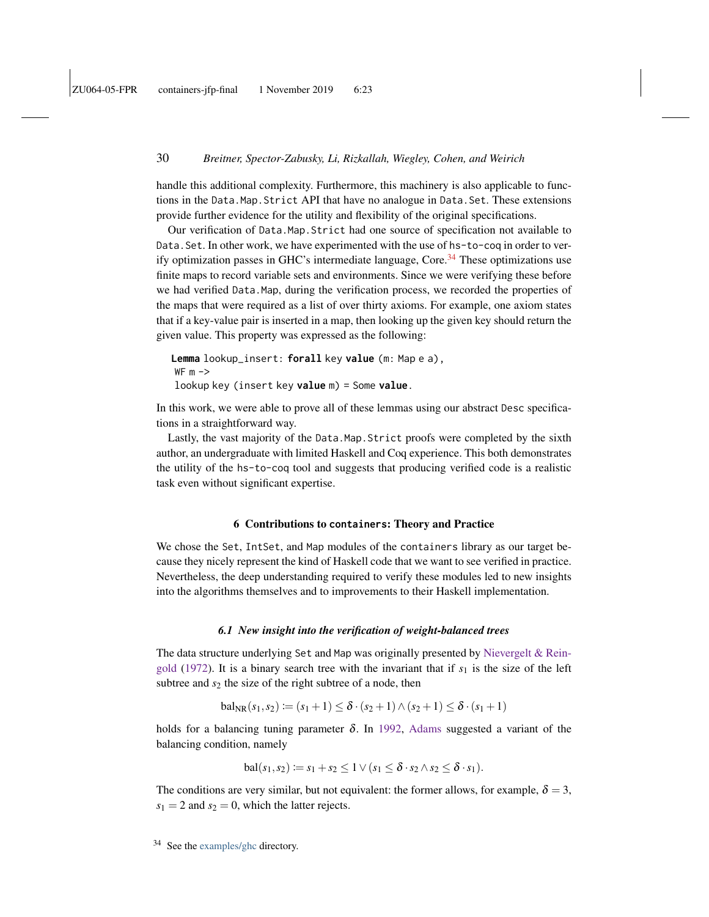handle this additional complexity. Furthermore, this machinery is also applicable to functions in the Data.Map.Strict API that have no analogue in Data.Set. These extensions provide further evidence for the utility and flexibility of the original specifications.

Our verification of Data.Map.Strict had one source of specification not available to Data.Set. In other work, we have experimented with the use of hs-to-coq in order to ver-ify optimization passes in GHC's intermediate language, Core.<sup>[34](#page-29-2)</sup> These optimizations use finite maps to record variable sets and environments. Since we were verifying these before we had verified Data.Map, during the verification process, we recorded the properties of the maps that were required as a list of over thirty axioms. For example, one axiom states that if a key-value pair is inserted in a map, then looking up the given key should return the given value. This property was expressed as the following:

```
Lemma lookup_insert: forall key value (m: Map e a),
WF m ->lookup key (insert key value m) = Some value.
```
In this work, we were able to prove all of these lemmas using our abstract Desc specifications in a straightforward way.

Lastly, the vast majority of the Data.Map.Strict proofs were completed by the sixth author, an undergraduate with limited Haskell and Coq experience. This both demonstrates the utility of the hs-to-coq tool and suggests that producing verified code is a realistic task even without significant expertise.

#### 6 Contributions to **containers**: Theory and Practice

<span id="page-29-0"></span>We chose the Set, IntSet, and Map modules of the containers library as our target because they nicely represent the kind of Haskell code that we want to see verified in practice. Nevertheless, the deep understanding required to verify these modules led to new insights into the algorithms themselves and to improvements to their Haskell implementation.

#### *6.1 New insight into the verification of weight-balanced trees*

<span id="page-29-1"></span>The data structure underlying Set and Map was originally presented by [Nievergelt & Rein](#page-41-2)[gold](#page-41-2) [\(1972\)](#page-41-2). It is a binary search tree with the invariant that if  $s<sub>1</sub>$  is the size of the left subtree and  $s_2$  the size of the right subtree of a node, then

$$
bal_{NR}(s_1, s_2) := (s_1 + 1) \le \delta \cdot (s_2 + 1) \wedge (s_2 + 1) \le \delta \cdot (s_1 + 1)
$$

holds for a balancing tuning parameter  $\delta$ . In [1992,](#page-39-2) [Adams](#page-39-2) suggested a variant of the balancing condition, namely

$$
\mathrm{bal}(s_1, s_2) \coloneqq s_1 + s_2 \leq 1 \vee (s_1 \leq \delta \cdot s_2 \wedge s_2 \leq \delta \cdot s_1).
$$

The conditions are very similar, but not equivalent: the former allows, for example,  $\delta = 3$ ,  $s_1 = 2$  and  $s_2 = 0$ , which the latter rejects.

<span id="page-29-2"></span> $34$  See the [examples/ghc](https://github.com/antalsz/hs-to-coq/blob/JFP-containers/examples/ghc) directory.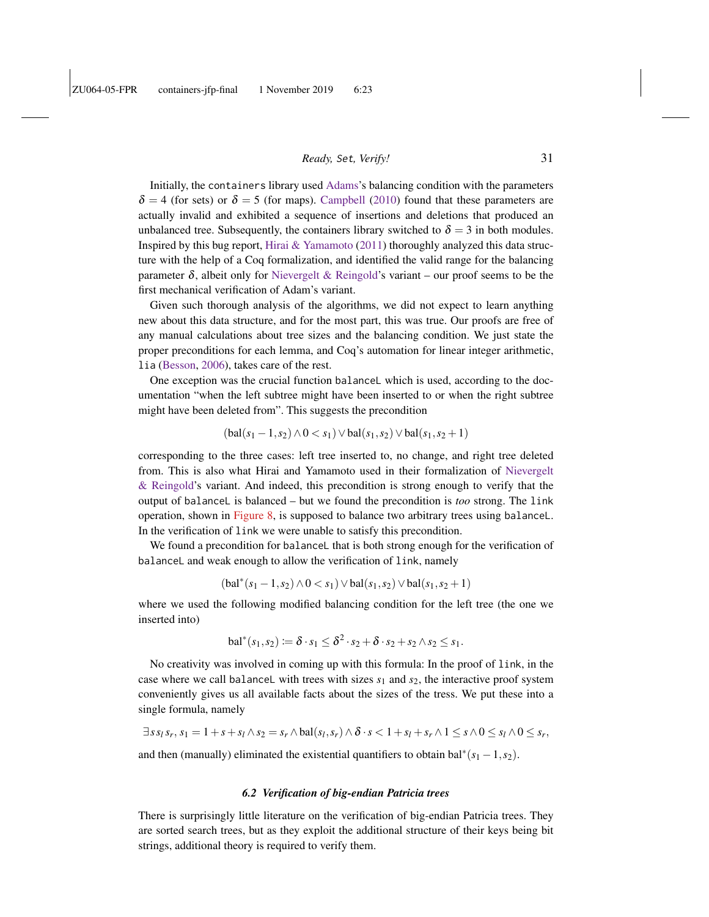Initially, the containers library used [Adams'](#page-39-2)s balancing condition with the parameters  $\delta$  = 4 (for sets) or  $\delta$  = 5 (for maps). [Campbell](#page-39-5) [\(2010\)](#page-39-5) found that these parameters are actually invalid and exhibited a sequence of insertions and deletions that produced an unbalanced tree. Subsequently, the containers library switched to  $\delta = 3$  in both modules. Inspired by this bug report, Hirai  $\&$  Yamamoto [\(2011\)](#page-40-3) thoroughly analyzed this data structure with the help of a Coq formalization, and identified the valid range for the balancing parameter  $\delta$ , albeit only for [Nievergelt & Reingold'](#page-41-2)s variant – our proof seems to be the first mechanical verification of Adam's variant.

Given such thorough analysis of the algorithms, we did not expect to learn anything new about this data structure, and for the most part, this was true. Our proofs are free of any manual calculations about tree sizes and the balancing condition. We just state the proper preconditions for each lemma, and Coq's automation for linear integer arithmetic, lia [\(Besson,](#page-39-6) [2006\)](#page-39-6), takes care of the rest.

One exception was the crucial function balanceL which is used, according to the documentation "when the left subtree might have been inserted to or when the right subtree might have been deleted from". This suggests the precondition

$$
(bal(s1 - 1, s2) \wedge 0 < s1) \vee bal(s1, s2) \vee bal(s1, s2 + 1)
$$

corresponding to the three cases: left tree inserted to, no change, and right tree deleted from. This is also what Hirai and Yamamoto used in their formalization of [Nievergelt](#page-41-2) [& Reingold'](#page-41-2)s variant. And indeed, this precondition is strong enough to verify that the output of balanceL is balanced – but we found the precondition is *too* strong. The link operation, shown in [Figure 8,](#page-23-0) is supposed to balance two arbitrary trees using balanceL. In the verification of link we were unable to satisfy this precondition.

We found a precondition for balanceL that is both strong enough for the verification of balanceL and weak enough to allow the verification of link, namely

$$
(bal^*(s_1 - 1, s_2) \wedge 0 < s_1) \vee bal(s_1, s_2) \vee bal(s_1, s_2 + 1)
$$

where we used the following modified balancing condition for the left tree (the one we inserted into)

$$
\mathrm{bal}^*(s_1, s_2) \coloneqq \delta \cdot s_1 \leq \delta^2 \cdot s_2 + \delta \cdot s_2 + s_2 \wedge s_2 \leq s_1.
$$

No creativity was involved in coming up with this formula: In the proof of link, in the case where we call balanceL with trees with sizes  $s_1$  and  $s_2$ , the interactive proof system conveniently gives us all available facts about the sizes of the tress. We put these into a single formula, namely

$$
\exists s s_l s_r, s_1 = 1 + s + s_l \wedge s_2 = s_r \wedge \text{bal}(s_l, s_r) \wedge \delta \cdot s < 1 + s_l + s_r \wedge 1 \leq s \wedge 0 \leq s_l \wedge 0 \leq s_r,
$$

and then (manually) eliminated the existential quantifiers to obtain bal<sup>\*</sup> $(s_1 - 1, s_2)$ .

### *6.2 Verification of big-endian Patricia trees*

There is surprisingly little literature on the verification of big-endian Patricia trees. They are sorted search trees, but as they exploit the additional structure of their keys being bit strings, additional theory is required to verify them.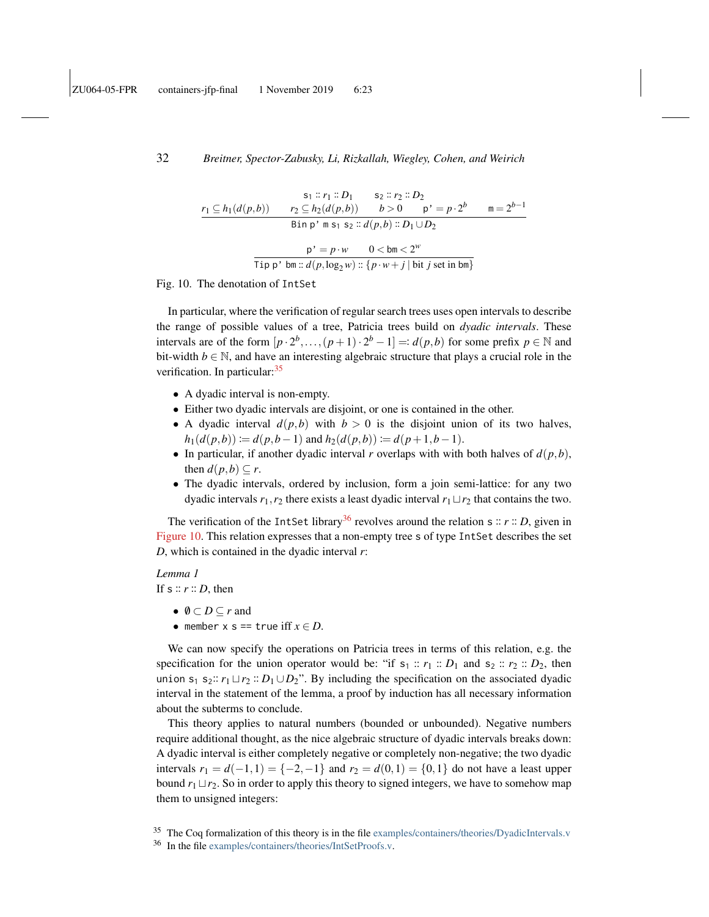$$
s_1 :: r_1 :: D_1 \qquad s_2 :: r_2 :: D_2
$$
\n
$$
r_1 \subseteq h_1(d(p, b)) \qquad r_2 \subseteq h_2(d(p, b)) \qquad b > 0 \qquad p' = p \cdot 2^b \qquad m = 2^{b-1}
$$
\n
$$
\text{Bin } p' \text{ } m \text{ } s_1 \text{ } s_2 :: d(p, b) :: D_1 \cup D_2
$$
\n
$$
\frac{p' = p \cdot w \qquad 0 < \text{bm} < 2^w}{\text{Tip } p' \text{ } bm :: d(p, \log_2 w) :: \{p \cdot w + j \mid \text{bit } j \text{ set in bm}\}}
$$

<span id="page-31-2"></span>Fig. 10. The denotation of IntSet

In particular, where the verification of regular search trees uses open intervals to describe the range of possible values of a tree, Patricia trees build on *dyadic intervals*. These intervals are of the form  $[p \cdot 2^b, \ldots, (p+1) \cdot 2^b - 1] =: d(p, b)$  for some prefix  $p \in \mathbb{N}$  and bit-width  $b \in \mathbb{N}$ , and have an interesting algebraic structure that plays a crucial role in the verification. In particular:<sup>[35](#page-31-0)</sup>

- A dyadic interval is non-empty.
- Either two dyadic intervals are disjoint, or one is contained in the other.
- A dyadic interval  $d(p, b)$  with  $b > 0$  is the disjoint union of its two halves,  $h_1(d(p,b)) \coloneqq d(p,b-1)$  and  $h_2(d(p,b)) \coloneqq d(p+1,b-1)$ .
- In particular, if another dyadic interval *r* overlaps with with both halves of  $d(p, b)$ , then  $d(p, b) \subseteq r$ .
- The dyadic intervals, ordered by inclusion, form a join semi-lattice: for any two dyadic intervals  $r_1, r_2$  there exists a least dyadic interval  $r_1 \sqcup r_2$  that contains the two.

The verification of the IntSet library<sup>[36](#page-31-1)</sup> revolves around the relation s ::  $r$  :: *D*, given in [Figure 10.](#page-31-2) This relation expresses that a non-empty tree s of type IntSet describes the set *D*, which is contained in the dyadic interval *r*:

*Lemma 1* If  $s :: r :: D$ , then

- $\emptyset \subset D \subseteq r$  and
- member  $x = \pm \text{true}$  iff  $x \in D$ .

We can now specify the operations on Patricia trees in terms of this relation, e.g. the specification for the union operator would be: "if  $s_1 :: r_1 :: D_1$  and  $s_2 :: r_2 :: D_2$ , then union  $s_1$   $s_2$ ::  $r_1 \sqcup r_2$  ::  $D_1 \cup D_2$ ". By including the specification on the associated dyadic interval in the statement of the lemma, a proof by induction has all necessary information about the subterms to conclude.

This theory applies to natural numbers (bounded or unbounded). Negative numbers require additional thought, as the nice algebraic structure of dyadic intervals breaks down: A dyadic interval is either completely negative or completely non-negative; the two dyadic intervals  $r_1 = d(-1, 1) = \{-2, -1\}$  and  $r_2 = d(0, 1) = \{0, 1\}$  do not have a least upper bound  $r_1 \sqcup r_2$ . So in order to apply this theory to signed integers, we have to somehow map them to unsigned integers:

<span id="page-31-0"></span><sup>&</sup>lt;sup>35</sup> The Coq formalization of this theory is in the file [examples/containers/theories/DyadicIntervals.v](https://github.com/antalsz/hs-to-coq/blob/JFP-containers/examples/containers/theories/DyadicIntervals.v)

<span id="page-31-1"></span><sup>36</sup> In the file [examples/containers/theories/IntSetProofs.v.](https://github.com/antalsz/hs-to-coq/blob/JFP-containers/examples/containers/theories/IntSetProofs.v)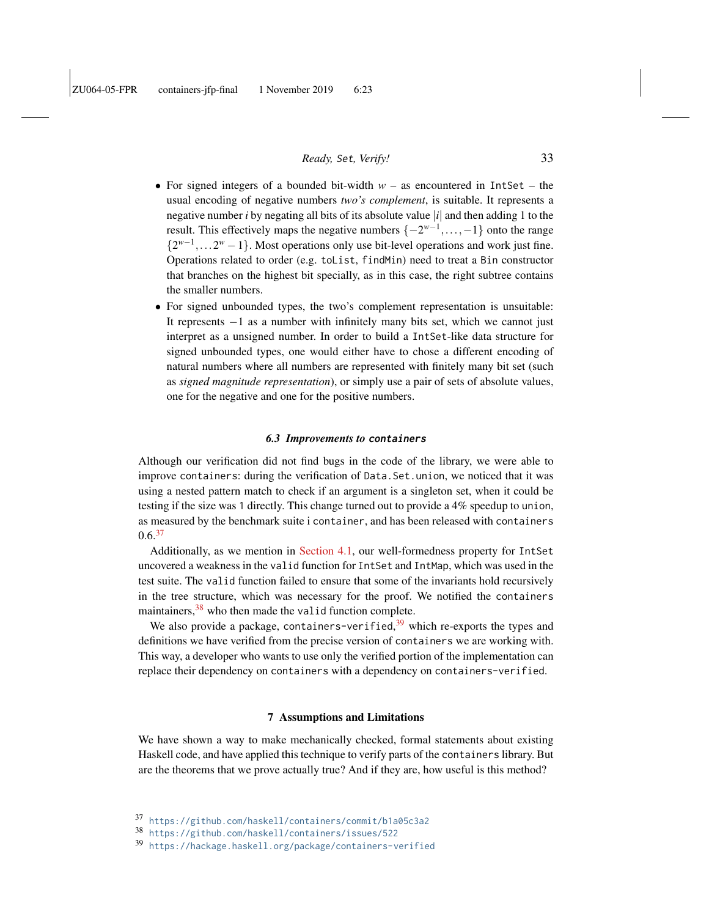- For signed integers of a bounded bit-width  $w -$  as encountered in IntSet the usual encoding of negative numbers *two's complement*, is suitable. It represents a negative number *i* by negating all bits of its absolute value |*i*| and then adding 1 to the result. This effectively maps the negative numbers  $\{-2^{w-1}, \ldots, -1\}$  onto the range  $\{2^{w-1}, \ldots 2^w - 1\}$ . Most operations only use bit-level operations and work just fine. Operations related to order (e.g. toList, findMin) need to treat a Bin constructor that branches on the highest bit specially, as in this case, the right subtree contains the smaller numbers.
- For signed unbounded types, the two's complement representation is unsuitable: It represents −1 as a number with infinitely many bits set, which we cannot just interpret as a unsigned number. In order to build a IntSet-like data structure for signed unbounded types, one would either have to chose a different encoding of natural numbers where all numbers are represented with finitely many bit set (such as *signed magnitude representation*), or simply use a pair of sets of absolute values, one for the negative and one for the positive numbers.

### *6.3 Improvements to* **containers**

Although our verification did not find bugs in the code of the library, we were able to improve containers: during the verification of Data.Set.union, we noticed that it was using a nested pattern match to check if an argument is a singleton set, when it could be testing if the size was 1 directly. This change turned out to provide a 4% speedup to union, as measured by the benchmark suite i container, and has been released with containers  $0.6<sup>37</sup>$  $0.6<sup>37</sup>$  $0.6<sup>37</sup>$ 

Additionally, as we mention in [Section 4.1,](#page-11-0) our well-formedness property for IntSet uncovered a weakness in the valid function for IntSet and IntMap, which was used in the test suite. The valid function failed to ensure that some of the invariants hold recursively in the tree structure, which was necessary for the proof. We notified the containers maintainers, <sup>[38](#page-32-2)</sup> who then made the valid function complete.

We also provide a package, containers-verified,<sup>[39](#page-32-3)</sup> which re-exports the types and definitions we have verified from the precise version of containers we are working with. This way, a developer who wants to use only the verified portion of the implementation can replace their dependency on containers with a dependency on containers-verified.

### 7 Assumptions and Limitations

<span id="page-32-0"></span>We have shown a way to make mechanically checked, formal statements about existing Haskell code, and have applied this technique to verify parts of the containers library. But are the theorems that we prove actually true? And if they are, how useful is this method?

<span id="page-32-1"></span><sup>37</sup> <https://github.com/haskell/containers/commit/b1a05c3a2>

<span id="page-32-2"></span><sup>38</sup> <https://github.com/haskell/containers/issues/522>

<span id="page-32-3"></span><sup>39</sup> <https://hackage.haskell.org/package/containers-verified>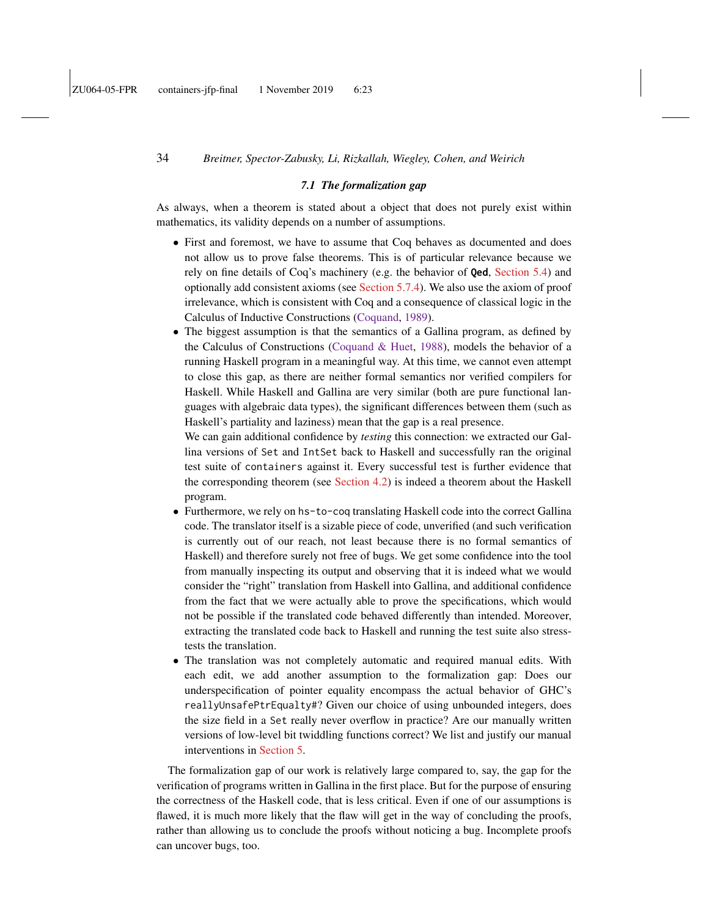#### *7.1 The formalization gap*

<span id="page-33-0"></span>As always, when a theorem is stated about a object that does not purely exist within mathematics, its validity depends on a number of assumptions.

- First and foremost, we have to assume that Coq behaves as documented and does not allow us to prove false theorems. This is of particular relevance because we rely on fine details of Coq's machinery (e.g. the behavior of **Qed**, [Section 5.4\)](#page-21-1) and optionally add consistent axioms (see [Section 5.7.4\)](#page-25-0). We also use the axiom of proof irrelevance, which is consistent with Coq and a consequence of classical logic in the Calculus of Inductive Constructions [\(Coquand,](#page-40-4) [1989\)](#page-40-4).
- The biggest assumption is that the semantics of a Gallina program, as defined by the Calculus of Constructions [\(Coquand & Huet,](#page-40-5) [1988\)](#page-40-5), models the behavior of a running Haskell program in a meaningful way. At this time, we cannot even attempt to close this gap, as there are neither formal semantics nor verified compilers for Haskell. While Haskell and Gallina are very similar (both are pure functional languages with algebraic data types), the significant differences between them (such as Haskell's partiality and laziness) mean that the gap is a real presence.

We can gain additional confidence by *testing* this connection: we extracted our Gallina versions of Set and IntSet back to Haskell and successfully ran the original test suite of containers against it. Every successful test is further evidence that the corresponding theorem (see [Section 4.2\)](#page-12-3) is indeed a theorem about the Haskell program.

- Furthermore, we rely on hs-to-coq translating Haskell code into the correct Gallina code. The translator itself is a sizable piece of code, unverified (and such verification is currently out of our reach, not least because there is no formal semantics of Haskell) and therefore surely not free of bugs. We get some confidence into the tool from manually inspecting its output and observing that it is indeed what we would consider the "right" translation from Haskell into Gallina, and additional confidence from the fact that we were actually able to prove the specifications, which would not be possible if the translated code behaved differently than intended. Moreover, extracting the translated code back to Haskell and running the test suite also stresstests the translation.
- The translation was not completely automatic and required manual edits. With each edit, we add another assumption to the formalization gap: Does our underspecification of pointer equality encompass the actual behavior of GHC's reallyUnsafePtrEqualty#? Given our choice of using unbounded integers, does the size field in a Set really never overflow in practice? Are our manually written versions of low-level bit twiddling functions correct? We list and justify our manual interventions in [Section 5.](#page-17-0)

The formalization gap of our work is relatively large compared to, say, the gap for the verification of programs written in Gallina in the first place. But for the purpose of ensuring the correctness of the Haskell code, that is less critical. Even if one of our assumptions is flawed, it is much more likely that the flaw will get in the way of concluding the proofs, rather than allowing us to conclude the proofs without noticing a bug. Incomplete proofs can uncover bugs, too.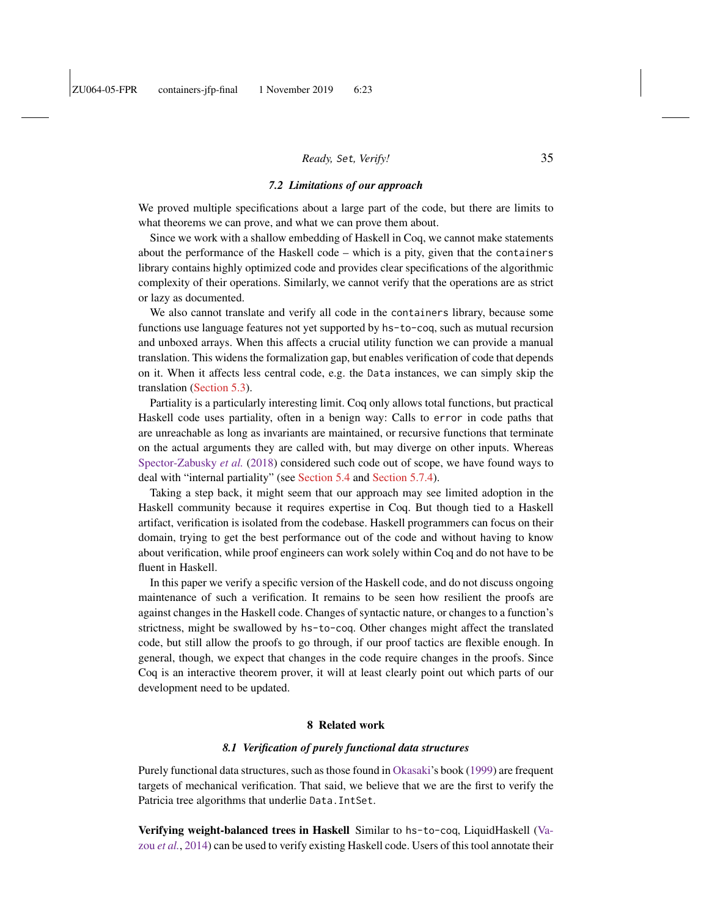### *7.2 Limitations of our approach*

<span id="page-34-0"></span>We proved multiple specifications about a large part of the code, but there are limits to what theorems we can prove, and what we can prove them about.

Since we work with a shallow embedding of Haskell in Coq, we cannot make statements about the performance of the Haskell code – which is a pity, given that the containers library contains highly optimized code and provides clear specifications of the algorithmic complexity of their operations. Similarly, we cannot verify that the operations are as strict or lazy as documented.

We also cannot translate and verify all code in the containers library, because some functions use language features not yet supported by hs-to-coq, such as mutual recursion and unboxed arrays. When this affects a crucial utility function we can provide a manual translation. This widens the formalization gap, but enables verification of code that depends on it. When it affects less central code, e.g. the Data instances, we can simply skip the translation [\(Section 5.3\)](#page-20-0).

Partiality is a particularly interesting limit. Coq only allows total functions, but practical Haskell code uses partiality, often in a benign way: Calls to error in code paths that are unreachable as long as invariants are maintained, or recursive functions that terminate on the actual arguments they are called with, but may diverge on other inputs. Whereas [Spector-Zabusky](#page-41-1) *et al.* [\(2018\)](#page-41-1) considered such code out of scope, we have found ways to deal with "internal partiality" (see [Section 5.4](#page-21-1) and [Section 5.7.4\)](#page-25-0).

Taking a step back, it might seem that our approach may see limited adoption in the Haskell community because it requires expertise in Coq. But though tied to a Haskell artifact, verification is isolated from the codebase. Haskell programmers can focus on their domain, trying to get the best performance out of the code and without having to know about verification, while proof engineers can work solely within Coq and do not have to be fluent in Haskell.

In this paper we verify a specific version of the Haskell code, and do not discuss ongoing maintenance of such a verification. It remains to be seen how resilient the proofs are against changes in the Haskell code. Changes of syntactic nature, or changes to a function's strictness, might be swallowed by hs-to-coq. Other changes might affect the translated code, but still allow the proofs to go through, if our proof tactics are flexible enough. In general, though, we expect that changes in the code require changes in the proofs. Since Coq is an interactive theorem prover, it will at least clearly point out which parts of our development need to be updated.

### 8 Related work

#### *8.1 Verification of purely functional data structures*

Purely functional data structures, such as those found in [Okasaki'](#page-41-7)s book [\(1999\)](#page-41-7) are frequent targets of mechanical verification. That said, we believe that we are the first to verify the Patricia tree algorithms that underlie Data.IntSet.

Verifying weight-balanced trees in Haskell Similar to hs-to-coq, LiquidHaskell [\(Va](#page-42-0)zou *[et al.](#page-42-0)*, [2014\)](#page-42-0) can be used to verify existing Haskell code. Users of this tool annotate their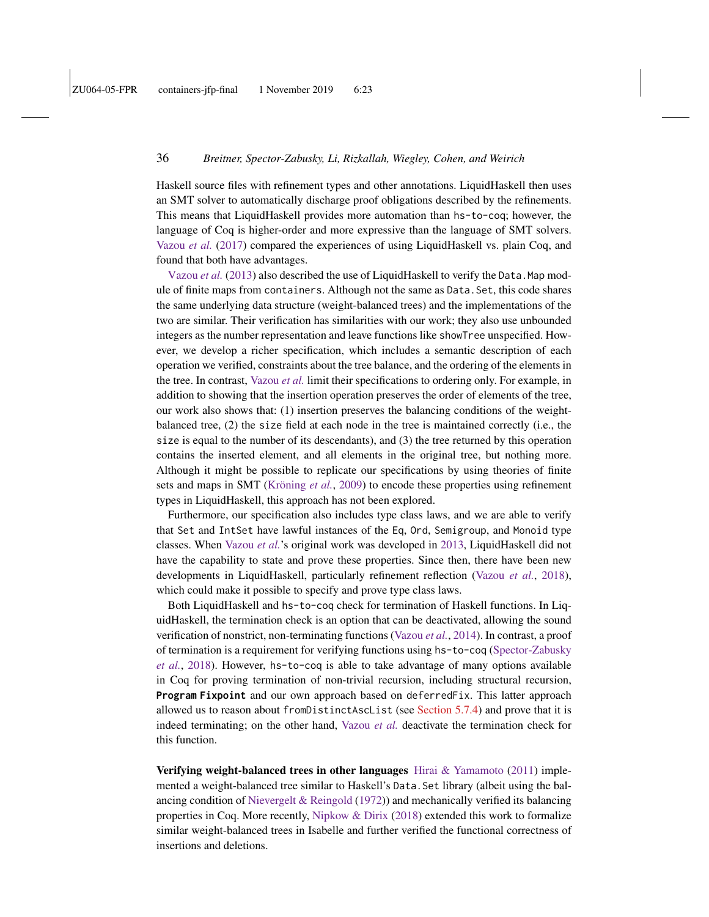Haskell source files with refinement types and other annotations. LiquidHaskell then uses an SMT solver to automatically discharge proof obligations described by the refinements. This means that LiquidHaskell provides more automation than hs-to-coq; however, the language of Coq is higher-order and more expressive than the language of SMT solvers. [Vazou](#page-42-1) *et al.* [\(2017\)](#page-42-1) compared the experiences of using LiquidHaskell vs. plain Coq, and found that both have advantages.

[Vazou](#page-41-8) *et al.* [\(2013\)](#page-41-8) also described the use of LiquidHaskell to verify the Data. Map module of finite maps from containers. Although not the same as Data.Set, this code shares the same underlying data structure (weight-balanced trees) and the implementations of the two are similar. Their verification has similarities with our work; they also use unbounded integers as the number representation and leave functions like showTree unspecified. However, we develop a richer specification, which includes a semantic description of each operation we verified, constraints about the tree balance, and the ordering of the elements in the tree. In contrast, [Vazou](#page-41-8) *et al.* limit their specifications to ordering only. For example, in addition to showing that the insertion operation preserves the order of elements of the tree, our work also shows that: (1) insertion preserves the balancing conditions of the weightbalanced tree, (2) the size field at each node in the tree is maintained correctly (i.e., the size is equal to the number of its descendants), and (3) the tree returned by this operation contains the inserted element, and all elements in the original tree, but nothing more. Although it might be possible to replicate our specifications by using theories of finite sets and maps in SMT [\(Kröning](#page-40-6) *et al.*, [2009\)](#page-40-6) to encode these properties using refinement types in LiquidHaskell, this approach has not been explored.

Furthermore, our specification also includes type class laws, and we are able to verify that Set and IntSet have lawful instances of the Eq, Ord, Semigroup, and Monoid type classes. When [Vazou](#page-41-8) *et al.*'s original work was developed in [2013,](#page-41-8) LiquidHaskell did not have the capability to state and prove these properties. Since then, there have been new developments in LiquidHaskell, particularly refinement reflection [\(Vazou](#page-42-2) *et al.*, [2018\)](#page-42-2), which could make it possible to specify and prove type class laws.

Both LiquidHaskell and hs-to-coq check for termination of Haskell functions. In LiquidHaskell, the termination check is an option that can be deactivated, allowing the sound verification of nonstrict, non-terminating functions [\(Vazou](#page-42-0) *et al.*, [2014\)](#page-42-0). In contrast, a proof of termination is a requirement for verifying functions using hs-to-coq [\(Spector-Zabusky](#page-41-1) *[et al.](#page-41-1)*, [2018\)](#page-41-1). However, hs-to-coq is able to take advantage of many options available in Coq for proving termination of non-trivial recursion, including structural recursion, **Program Fixpoint** and our own approach based on deferredFix. This latter approach allowed us to reason about fromDistinctAscList (see [Section 5.7.4\)](#page-25-0) and prove that it is indeed terminating; on the other hand, [Vazou](#page-41-8) *et al.* deactivate the termination check for this function.

Verifying weight-balanced trees in other languages [Hirai & Yamamoto](#page-40-3) [\(2011\)](#page-40-3) implemented a weight-balanced tree similar to Haskell's Data.Set library (albeit using the balancing condition of [Nievergelt & Reingold](#page-41-2) [\(1972\)](#page-41-2)) and mechanically verified its balancing properties in Coq. More recently, [Nipkow & Dirix](#page-41-9) [\(2018\)](#page-41-9) extended this work to formalize similar weight-balanced trees in Isabelle and further verified the functional correctness of insertions and deletions.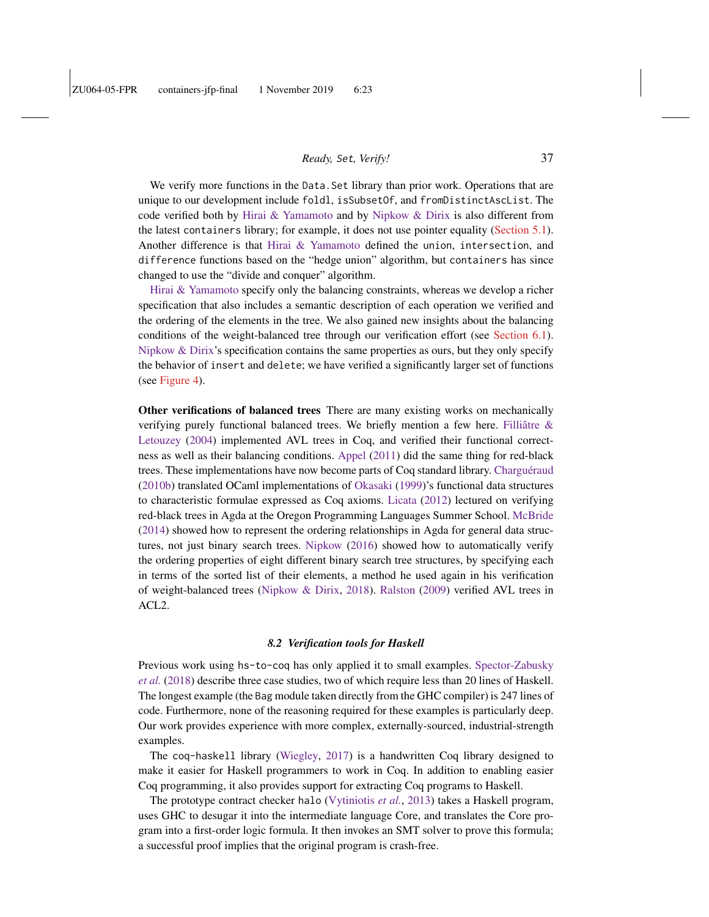We verify more functions in the Data. Set library than prior work. Operations that are unique to our development include foldl, isSubsetOf, and fromDistinctAscList. The code verified both by [Hirai & Yamamoto](#page-40-3) and by [Nipkow & Dirix](#page-41-9) is also different from the latest containers library; for example, it does not use pointer equality [\(Section 5.1\)](#page-18-0). Another difference is that [Hirai & Yamamoto](#page-40-3) defined the union, intersection, and difference functions based on the "hedge union" algorithm, but containers has since changed to use the "divide and conquer" algorithm.

[Hirai & Yamamoto](#page-40-3) specify only the balancing constraints, whereas we develop a richer specification that also includes a semantic description of each operation we verified and the ordering of the elements in the tree. We also gained new insights about the balancing conditions of the weight-balanced tree through our verification effort (see [Section 6.1\)](#page-29-1). [Nipkow & Dirix'](#page-41-9)s specification contains the same properties as ours, but they only specify the behavior of insert and delete; we have verified a significantly larger set of functions (see [Figure 4\)](#page-10-0).

Other verifications of balanced trees There are many existing works on mechanically verifying purely functional balanced trees. We briefly mention a few here. [Filliâtre &](#page-40-7) [Letouzey](#page-40-7) [\(2004\)](#page-40-7) implemented AVL trees in Coq, and verified their functional correctness as well as their balancing conditions. [Appel](#page-39-7) [\(2011\)](#page-39-7) did the same thing for red-black trees. These implementations have now become parts of Coq standard library. [Charguéraud](#page-39-8) [\(2010b\)](#page-39-8) translated OCaml implementations of [Okasaki](#page-41-7) [\(1999\)](#page-41-7)'s functional data structures to characteristic formulae expressed as Coq axioms. [Licata](#page-40-8) [\(2012\)](#page-40-8) lectured on verifying red-black trees in Agda at the Oregon Programming Languages Summer School. [McBride](#page-40-9) [\(2014\)](#page-40-9) showed how to represent the ordering relationships in Agda for general data structures, not just binary search trees. [Nipkow](#page-41-10) [\(2016\)](#page-41-10) showed how to automatically verify the ordering properties of eight different binary search tree structures, by specifying each in terms of the sorted list of their elements, a method he used again in his verification of weight-balanced trees [\(Nipkow & Dirix,](#page-41-9) [2018\)](#page-41-9). [Ralston](#page-41-11) [\(2009\)](#page-41-11) verified AVL trees in ACL2.

#### *8.2 Verification tools for Haskell*

Previous work using hs-to-coq has only applied it to small examples. [Spector-Zabusky](#page-41-1) *[et al.](#page-41-1)* [\(2018\)](#page-41-1) describe three case studies, two of which require less than 20 lines of Haskell. The longest example (the Bag module taken directly from the GHC compiler) is 247 lines of code. Furthermore, none of the reasoning required for these examples is particularly deep. Our work provides experience with more complex, externally-sourced, industrial-strength examples.

The coq-haskell library [\(Wiegley,](#page-42-3) [2017\)](#page-42-3) is a handwritten Coq library designed to make it easier for Haskell programmers to work in Coq. In addition to enabling easier Coq programming, it also provides support for extracting Coq programs to Haskell.

The prototype contract checker halo [\(Vytiniotis](#page-42-4) *et al.*, [2013\)](#page-42-4) takes a Haskell program, uses GHC to desugar it into the intermediate language Core, and translates the Core program into a first-order logic formula. It then invokes an SMT solver to prove this formula; a successful proof implies that the original program is crash-free.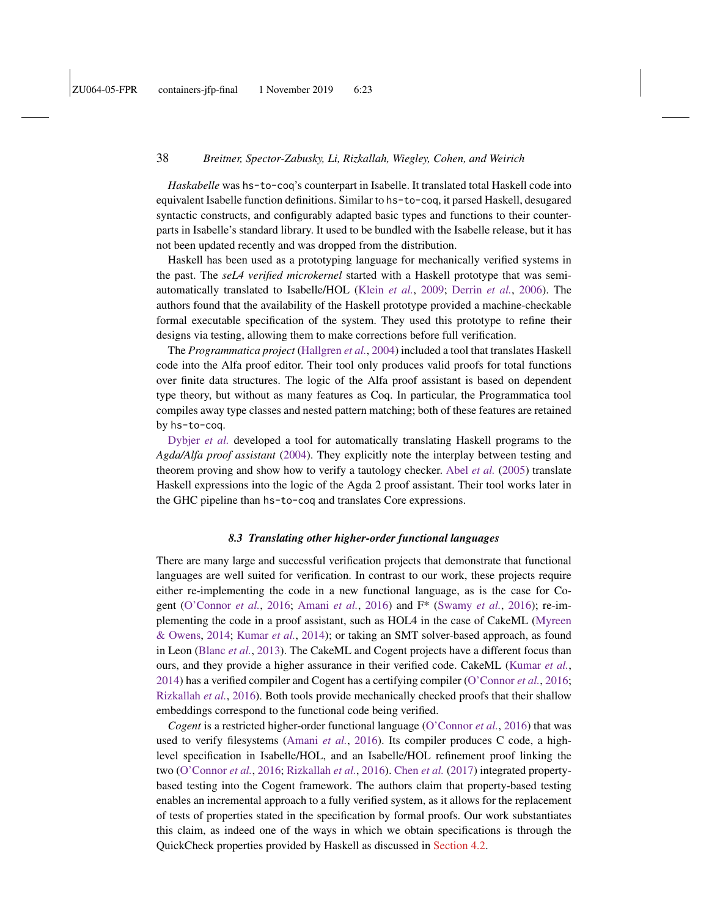*Haskabelle* was hs-to-coq's counterpart in Isabelle. It translated total Haskell code into equivalent Isabelle function definitions. Similar to hs-to-coq, it parsed Haskell, desugared syntactic constructs, and configurably adapted basic types and functions to their counterparts in Isabelle's standard library. It used to be bundled with the Isabelle release, but it has not been updated recently and was dropped from the distribution.

Haskell has been used as a prototyping language for mechanically verified systems in the past. The *seL4 verified microkernel* started with a Haskell prototype that was semiautomatically translated to Isabelle/HOL [\(Klein](#page-40-10) *et al.*, [2009;](#page-40-10) [Derrin](#page-40-11) *et al.*, [2006\)](#page-40-11). The authors found that the availability of the Haskell prototype provided a machine-checkable formal executable specification of the system. They used this prototype to refine their designs via testing, allowing them to make corrections before full verification.

The *Programmatica project* [\(Hallgren](#page-40-12) *et al.*, [2004\)](#page-40-12) included a tool that translates Haskell code into the Alfa proof editor. Their tool only produces valid proofs for total functions over finite data structures. The logic of the Alfa proof assistant is based on dependent type theory, but without as many features as Coq. In particular, the Programmatica tool compiles away type classes and nested pattern matching; both of these features are retained by hs-to-coq.

[Dybjer](#page-40-13) *et al.* developed a tool for automatically translating Haskell programs to the *Agda/Alfa proof assistant* [\(2004\)](#page-40-13). They explicitly note the interplay between testing and theorem proving and show how to verify a tautology checker. Abel *[et al.](#page-39-9)* [\(2005\)](#page-39-9) translate Haskell expressions into the logic of the Agda 2 proof assistant. Their tool works later in the GHC pipeline than hs-to-coq and translates Core expressions.

### *8.3 Translating other higher-order functional languages*

There are many large and successful verification projects that demonstrate that functional languages are well suited for verification. In contrast to our work, these projects require either re-implementing the code in a new functional language, as is the case for Cogent [\(O'Connor](#page-41-12) *et al.*, [2016;](#page-41-12) [Amani](#page-39-10) *et al.*, [2016\)](#page-39-10) and F\* [\(Swamy](#page-41-13) *et al.*, [2016\)](#page-41-13); re-implementing the code in a proof assistant, such as HOL4 in the case of CakeML [\(Myreen](#page-41-14) [& Owens,](#page-41-14) [2014;](#page-41-14) [Kumar](#page-40-14) *et al.*, [2014\)](#page-40-14); or taking an SMT solver-based approach, as found in Leon [\(Blanc](#page-39-11) *et al.*, [2013\)](#page-39-11). The CakeML and Cogent projects have a different focus than ours, and they provide a higher assurance in their verified code. CakeML [\(Kumar](#page-40-14) *et al.*, [2014\)](#page-40-14) has a verified compiler and Cogent has a certifying compiler [\(O'Connor](#page-41-12) *et al.*, [2016;](#page-41-12) [Rizkallah](#page-41-15) *et al.*, [2016\)](#page-41-15). Both tools provide mechanically checked proofs that their shallow embeddings correspond to the functional code being verified.

*Cogent* is a restricted higher-order functional language [\(O'Connor](#page-41-12) *et al.*, [2016\)](#page-41-12) that was used to verify filesystems [\(Amani](#page-39-10) *et al.*, [2016\)](#page-39-10). Its compiler produces C code, a highlevel specification in Isabelle/HOL, and an Isabelle/HOL refinement proof linking the two [\(O'Connor](#page-41-12) *et al.*, [2016;](#page-41-12) [Rizkallah](#page-41-15) *et al.*, [2016\)](#page-41-15). [Chen](#page-40-15) *et al.* [\(2017\)](#page-40-15) integrated propertybased testing into the Cogent framework. The authors claim that property-based testing enables an incremental approach to a fully verified system, as it allows for the replacement of tests of properties stated in the specification by formal proofs. Our work substantiates this claim, as indeed one of the ways in which we obtain specifications is through the QuickCheck properties provided by Haskell as discussed in [Section 4.2.](#page-12-3)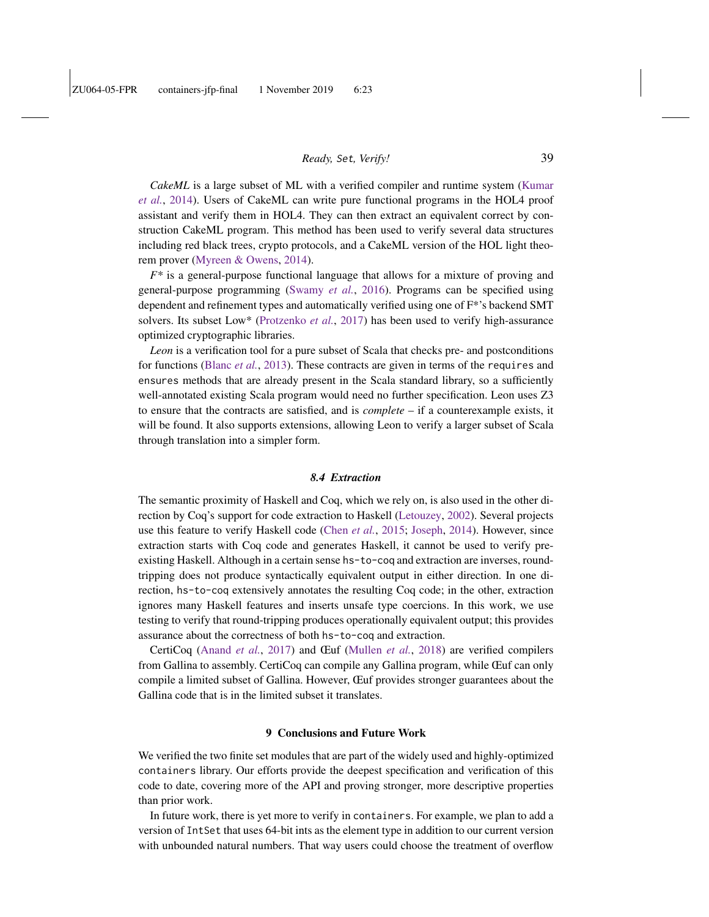*CakeML* is a large subset of ML with a verified compiler and runtime system [\(Kumar](#page-40-14) *[et al.](#page-40-14)*, [2014\)](#page-40-14). Users of CakeML can write pure functional programs in the HOL4 proof assistant and verify them in HOL4. They can then extract an equivalent correct by construction CakeML program. This method has been used to verify several data structures including red black trees, crypto protocols, and a CakeML version of the HOL light theorem prover [\(Myreen & Owens,](#page-41-14) [2014\)](#page-41-14).

*F\** is a general-purpose functional language that allows for a mixture of proving and general-purpose programming [\(Swamy](#page-41-13) *et al.*, [2016\)](#page-41-13). Programs can be specified using dependent and refinement types and automatically verified using one of F\*'s backend SMT solvers. Its subset Low\* [\(Protzenko](#page-41-16) *et al.*, [2017\)](#page-41-16) has been used to verify high-assurance optimized cryptographic libraries.

*Leon* is a verification tool for a pure subset of Scala that checks pre- and postconditions for functions [\(Blanc](#page-39-11) *et al.*, [2013\)](#page-39-11). These contracts are given in terms of the requires and ensures methods that are already present in the Scala standard library, so a sufficiently well-annotated existing Scala program would need no further specification. Leon uses Z3 to ensure that the contracts are satisfied, and is *complete* – if a counterexample exists, it will be found. It also supports extensions, allowing Leon to verify a larger subset of Scala through translation into a simpler form.

### *8.4 Extraction*

The semantic proximity of Haskell and Coq, which we rely on, is also used in the other direction by Coq's support for code extraction to Haskell [\(Letouzey,](#page-40-16) [2002\)](#page-40-16). Several projects use this feature to verify Haskell code [\(Chen](#page-40-17) *et al.*, [2015;](#page-40-17) [Joseph,](#page-40-18) [2014\)](#page-40-18). However, since extraction starts with Coq code and generates Haskell, it cannot be used to verify preexisting Haskell. Although in a certain sense hs-to-coq and extraction are inverses, roundtripping does not produce syntactically equivalent output in either direction. In one direction, hs-to-coq extensively annotates the resulting Coq code; in the other, extraction ignores many Haskell features and inserts unsafe type coercions. In this work, we use testing to verify that round-tripping produces operationally equivalent output; this provides assurance about the correctness of both hs-to-coq and extraction.

CertiCoq [\(Anand](#page-39-12) *et al.*, [2017\)](#page-39-12) and Œuf [\(Mullen](#page-41-17) *et al.*, [2018\)](#page-41-17) are verified compilers from Gallina to assembly. CertiCoq can compile any Gallina program, while Œuf can only compile a limited subset of Gallina. However, Œuf provides stronger guarantees about the Gallina code that is in the limited subset it translates.

#### 9 Conclusions and Future Work

We verified the two finite set modules that are part of the widely used and highly-optimized containers library. Our efforts provide the deepest specification and verification of this code to date, covering more of the API and proving stronger, more descriptive properties than prior work.

In future work, there is yet more to verify in containers. For example, we plan to add a version of IntSet that uses 64-bit ints as the element type in addition to our current version with unbounded natural numbers. That way users could choose the treatment of overflow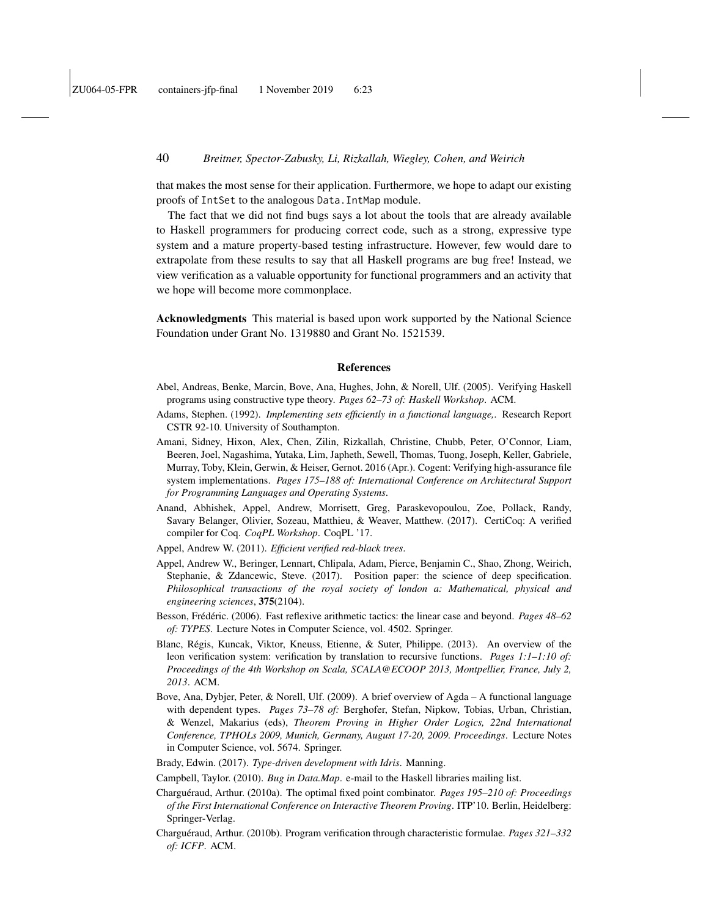that makes the most sense for their application. Furthermore, we hope to adapt our existing proofs of IntSet to the analogous Data.IntMap module.

The fact that we did not find bugs says a lot about the tools that are already available to Haskell programmers for producing correct code, such as a strong, expressive type system and a mature property-based testing infrastructure. However, few would dare to extrapolate from these results to say that all Haskell programs are bug free! Instead, we view verification as a valuable opportunity for functional programmers and an activity that we hope will become more commonplace.

Acknowledgments This material is based upon work supported by the National Science Foundation under Grant No. 1319880 and Grant No. 1521539.

#### References

- <span id="page-39-9"></span>Abel, Andreas, Benke, Marcin, Bove, Ana, Hughes, John, & Norell, Ulf. (2005). Verifying Haskell programs using constructive type theory. *Pages 62–73 of: Haskell Workshop*. ACM.
- <span id="page-39-2"></span>Adams, Stephen. (1992). *Implementing sets efficiently in a functional language,*. Research Report CSTR 92-10. University of Southampton.
- <span id="page-39-10"></span>Amani, Sidney, Hixon, Alex, Chen, Zilin, Rizkallah, Christine, Chubb, Peter, O'Connor, Liam, Beeren, Joel, Nagashima, Yutaka, Lim, Japheth, Sewell, Thomas, Tuong, Joseph, Keller, Gabriele, Murray, Toby, Klein, Gerwin, & Heiser, Gernot. 2016 (Apr.). Cogent: Verifying high-assurance file system implementations. *Pages 175–188 of: International Conference on Architectural Support for Programming Languages and Operating Systems*.
- <span id="page-39-12"></span>Anand, Abhishek, Appel, Andrew, Morrisett, Greg, Paraskevopoulou, Zoe, Pollack, Randy, Savary Belanger, Olivier, Sozeau, Matthieu, & Weaver, Matthew. (2017). CertiCoq: A verified compiler for Coq. *CoqPL Workshop*. CoqPL '17.
- <span id="page-39-7"></span>Appel, Andrew W. (2011). *Efficient verified red-black trees*.
- <span id="page-39-3"></span>Appel, Andrew W., Beringer, Lennart, Chlipala, Adam, Pierce, Benjamin C., Shao, Zhong, Weirich, Stephanie, & Zdancewic, Steve. (2017). Position paper: the science of deep specification. *Philosophical transactions of the royal society of london a: Mathematical, physical and engineering sciences*, 375(2104).
- <span id="page-39-6"></span>Besson, Frédéric. (2006). Fast reflexive arithmetic tactics: the linear case and beyond. *Pages 48–62 of: TYPES*. Lecture Notes in Computer Science, vol. 4502. Springer.
- <span id="page-39-11"></span>Blanc, Régis, Kuncak, Viktor, Kneuss, Etienne, & Suter, Philippe. (2013). An overview of the leon verification system: verification by translation to recursive functions. *Pages 1:1–1:10 of: Proceedings of the 4th Workshop on Scala, SCALA@ECOOP 2013, Montpellier, France, July 2, 2013*. ACM.
- <span id="page-39-0"></span>Bove, Ana, Dybjer, Peter, & Norell, Ulf. (2009). A brief overview of Agda – A functional language with dependent types. *Pages 73–78 of:* Berghofer, Stefan, Nipkow, Tobias, Urban, Christian, & Wenzel, Makarius (eds), *Theorem Proving in Higher Order Logics, 22nd International Conference, TPHOLs 2009, Munich, Germany, August 17-20, 2009. Proceedings*. Lecture Notes in Computer Science, vol. 5674. Springer.
- <span id="page-39-1"></span>Brady, Edwin. (2017). *Type-driven development with Idris*. Manning.
- <span id="page-39-5"></span>Campbell, Taylor. (2010). *Bug in Data.Map*. e-mail to the Haskell libraries mailing list.
- <span id="page-39-4"></span>Charguéraud, Arthur. (2010a). The optimal fixed point combinator. *Pages 195–210 of: Proceedings of the First International Conference on Interactive Theorem Proving*. ITP'10. Berlin, Heidelberg: Springer-Verlag.
- <span id="page-39-8"></span>Charguéraud, Arthur. (2010b). Program verification through characteristic formulae. *Pages 321–332 of: ICFP*. ACM.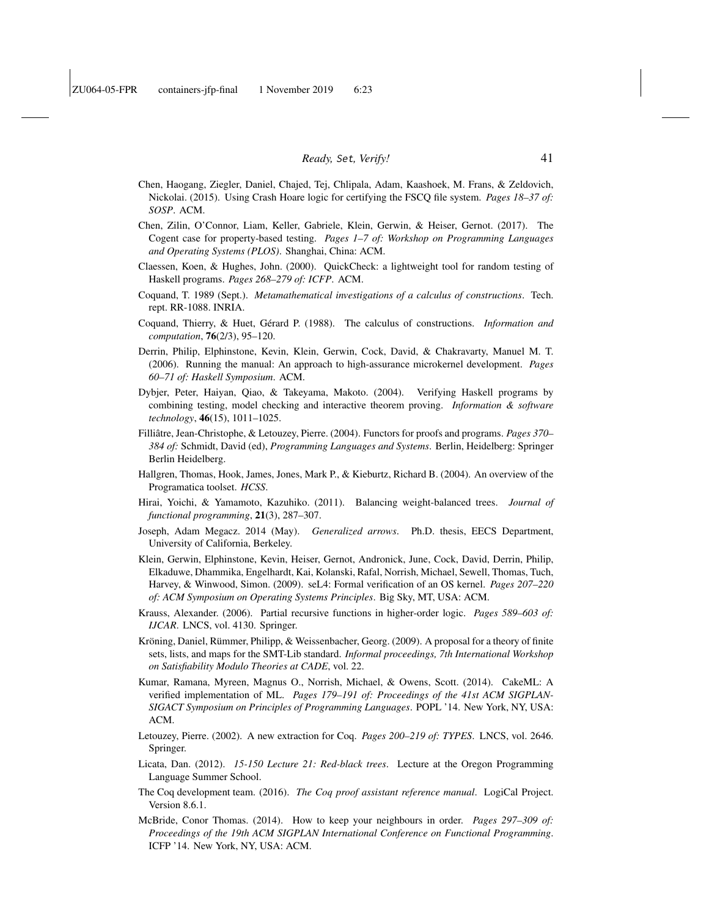- <span id="page-40-17"></span>Chen, Haogang, Ziegler, Daniel, Chajed, Tej, Chlipala, Adam, Kaashoek, M. Frans, & Zeldovich, Nickolai. (2015). Using Crash Hoare logic for certifying the FSCQ file system. *Pages 18–37 of: SOSP*. ACM.
- <span id="page-40-15"></span>Chen, Zilin, O'Connor, Liam, Keller, Gabriele, Klein, Gerwin, & Heiser, Gernot. (2017). The Cogent case for property-based testing. *Pages 1–7 of: Workshop on Programming Languages and Operating Systems (PLOS)*. Shanghai, China: ACM.
- <span id="page-40-1"></span>Claessen, Koen, & Hughes, John. (2000). QuickCheck: a lightweight tool for random testing of Haskell programs. *Pages 268–279 of: ICFP*. ACM.
- <span id="page-40-4"></span>Coquand, T. 1989 (Sept.). *Metamathematical investigations of a calculus of constructions*. Tech. rept. RR-1088. INRIA.
- <span id="page-40-5"></span>Coquand, Thierry, & Huet, Gérard P. (1988). The calculus of constructions. *Information and computation*, 76(2/3), 95–120.
- <span id="page-40-11"></span>Derrin, Philip, Elphinstone, Kevin, Klein, Gerwin, Cock, David, & Chakravarty, Manuel M. T. (2006). Running the manual: An approach to high-assurance microkernel development. *Pages 60–71 of: Haskell Symposium*. ACM.
- <span id="page-40-13"></span>Dybjer, Peter, Haiyan, Qiao, & Takeyama, Makoto. (2004). Verifying Haskell programs by combining testing, model checking and interactive theorem proving. *Information & software technology*, 46(15), 1011–1025.
- <span id="page-40-7"></span>Filliâtre, Jean-Christophe, & Letouzey, Pierre. (2004). Functors for proofs and programs. *Pages 370– 384 of:* Schmidt, David (ed), *Programming Languages and Systems*. Berlin, Heidelberg: Springer Berlin Heidelberg.
- <span id="page-40-12"></span>Hallgren, Thomas, Hook, James, Jones, Mark P., & Kieburtz, Richard B. (2004). An overview of the Programatica toolset. *HCSS*.
- <span id="page-40-3"></span>Hirai, Yoichi, & Yamamoto, Kazuhiko. (2011). Balancing weight-balanced trees. *Journal of functional programming*, 21(3), 287–307.
- <span id="page-40-18"></span>Joseph, Adam Megacz. 2014 (May). *Generalized arrows*. Ph.D. thesis, EECS Department, University of California, Berkeley.
- <span id="page-40-10"></span>Klein, Gerwin, Elphinstone, Kevin, Heiser, Gernot, Andronick, June, Cock, David, Derrin, Philip, Elkaduwe, Dhammika, Engelhardt, Kai, Kolanski, Rafal, Norrish, Michael, Sewell, Thomas, Tuch, Harvey, & Winwood, Simon. (2009). seL4: Formal verification of an OS kernel. *Pages 207–220 of: ACM Symposium on Operating Systems Principles*. Big Sky, MT, USA: ACM.
- <span id="page-40-2"></span>Krauss, Alexander. (2006). Partial recursive functions in higher-order logic. *Pages 589–603 of: IJCAR*. LNCS, vol. 4130. Springer.
- <span id="page-40-6"></span>Kröning, Daniel, Rümmer, Philipp, & Weissenbacher, Georg. (2009). A proposal for a theory of finite sets, lists, and maps for the SMT-Lib standard. *Informal proceedings, 7th International Workshop on Satisfiability Modulo Theories at CADE*, vol. 22.
- <span id="page-40-14"></span>Kumar, Ramana, Myreen, Magnus O., Norrish, Michael, & Owens, Scott. (2014). CakeML: A verified implementation of ML. *Pages 179–191 of: Proceedings of the 41st ACM SIGPLAN-SIGACT Symposium on Principles of Programming Languages*. POPL '14. New York, NY, USA: ACM.
- <span id="page-40-16"></span>Letouzey, Pierre. (2002). A new extraction for Coq. *Pages 200–219 of: TYPES*. LNCS, vol. 2646. Springer.
- <span id="page-40-8"></span>Licata, Dan. (2012). *15-150 Lecture 21: Red-black trees*. Lecture at the Oregon Programming Language Summer School.
- <span id="page-40-0"></span>The Coq development team. (2016). *The Coq proof assistant reference manual*. LogiCal Project. Version 8.6.1.
- <span id="page-40-9"></span>McBride, Conor Thomas. (2014). How to keep your neighbours in order. *Pages 297–309 of: Proceedings of the 19th ACM SIGPLAN International Conference on Functional Programming*. ICFP '14. New York, NY, USA: ACM.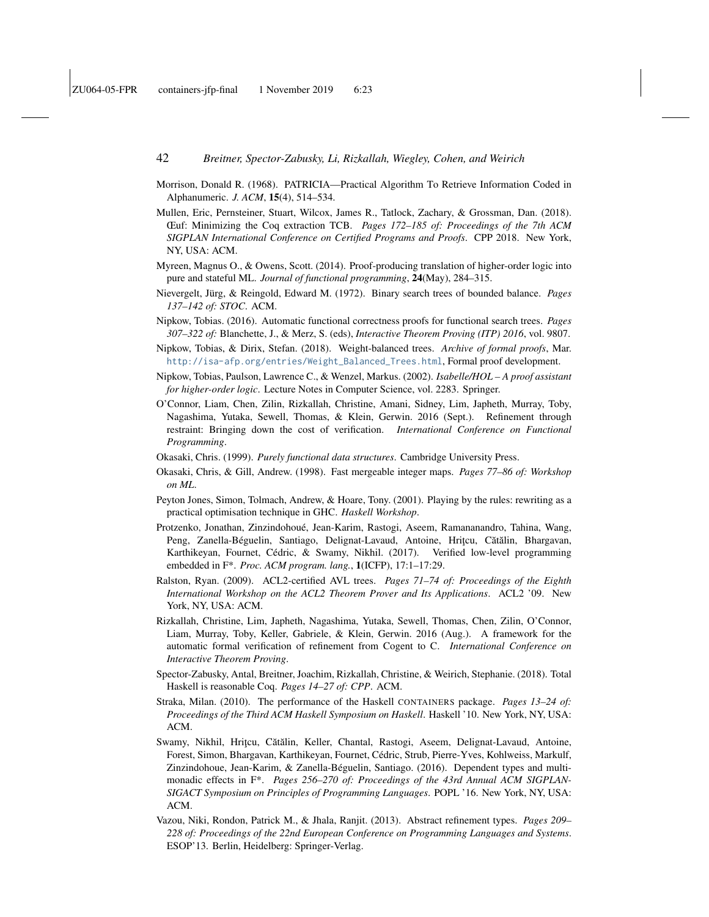- <span id="page-41-3"></span>Morrison, Donald R. (1968). PATRICIA—Practical Algorithm To Retrieve Information Coded in Alphanumeric. *J. ACM*, 15(4), 514–534.
- <span id="page-41-17"></span>Mullen, Eric, Pernsteiner, Stuart, Wilcox, James R., Tatlock, Zachary, & Grossman, Dan. (2018). Œuf: Minimizing the Coq extraction TCB. *Pages 172–185 of: Proceedings of the 7th ACM SIGPLAN International Conference on Certified Programs and Proofs*. CPP 2018. New York, NY, USA: ACM.
- <span id="page-41-14"></span>Myreen, Magnus O., & Owens, Scott. (2014). Proof-producing translation of higher-order logic into pure and stateful ML. *Journal of functional programming*, 24(May), 284–315.
- <span id="page-41-2"></span>Nievergelt, Jürg, & Reingold, Edward M. (1972). Binary search trees of bounded balance. *Pages 137–142 of: STOC*. ACM.
- <span id="page-41-10"></span>Nipkow, Tobias. (2016). Automatic functional correctness proofs for functional search trees. *Pages 307–322 of:* Blanchette, J., & Merz, S. (eds), *Interactive Theorem Proving (ITP) 2016*, vol. 9807.
- <span id="page-41-9"></span>Nipkow, Tobias, & Dirix, Stefan. (2018). Weight-balanced trees. *Archive of formal proofs*, Mar. [http://isa-afp.org/entries/Weight\\_Balanced\\_Trees.html](http://isa-afp.org/entries/Weight_Balanced_Trees.html), Formal proof development.
- <span id="page-41-0"></span>Nipkow, Tobias, Paulson, Lawrence C., & Wenzel, Markus. (2002). *Isabelle/HOL – A proof assistant for higher-order logic*. Lecture Notes in Computer Science, vol. 2283. Springer.
- <span id="page-41-12"></span>O'Connor, Liam, Chen, Zilin, Rizkallah, Christine, Amani, Sidney, Lim, Japheth, Murray, Toby, Nagashima, Yutaka, Sewell, Thomas, & Klein, Gerwin. 2016 (Sept.). Refinement through restraint: Bringing down the cost of verification. *International Conference on Functional Programming*.
- <span id="page-41-7"></span>Okasaki, Chris. (1999). *Purely functional data structures*. Cambridge University Press.
- <span id="page-41-4"></span>Okasaki, Chris, & Gill, Andrew. (1998). Fast mergeable integer maps. *Pages 77–86 of: Workshop on ML*.
- <span id="page-41-6"></span>Peyton Jones, Simon, Tolmach, Andrew, & Hoare, Tony. (2001). Playing by the rules: rewriting as a practical optimisation technique in GHC. *Haskell Workshop*.
- <span id="page-41-16"></span>Protzenko, Jonathan, Zinzindohoué, Jean-Karim, Rastogi, Aseem, Ramananandro, Tahina, Wang, Peng, Zanella-Béguelin, Santiago, Delignat-Lavaud, Antoine, Hrițcu, Cătălin, Bhargavan, Karthikeyan, Fournet, Cédric, & Swamy, Nikhil. (2017). Verified low-level programming embedded in F\*. *Proc. ACM program. lang.*, 1(ICFP), 17:1–17:29.
- <span id="page-41-11"></span>Ralston, Ryan. (2009). ACL2-certified AVL trees. *Pages 71–74 of: Proceedings of the Eighth International Workshop on the ACL2 Theorem Prover and Its Applications*. ACL2 '09. New York, NY, USA: ACM.
- <span id="page-41-15"></span>Rizkallah, Christine, Lim, Japheth, Nagashima, Yutaka, Sewell, Thomas, Chen, Zilin, O'Connor, Liam, Murray, Toby, Keller, Gabriele, & Klein, Gerwin. 2016 (Aug.). A framework for the automatic formal verification of refinement from Cogent to C. *International Conference on Interactive Theorem Proving*.
- <span id="page-41-1"></span>Spector-Zabusky, Antal, Breitner, Joachim, Rizkallah, Christine, & Weirich, Stephanie. (2018). Total Haskell is reasonable Coq. *Pages 14–27 of: CPP*. ACM.
- <span id="page-41-5"></span>Straka, Milan. (2010). The performance of the Haskell CONTAINERS package. *Pages 13–24 of: Proceedings of the Third ACM Haskell Symposium on Haskell*. Haskell '10. New York, NY, USA: ACM.
- <span id="page-41-13"></span>Swamy, Nikhil, Hrițcu, Cătălin, Keller, Chantal, Rastogi, Aseem, Delignat-Lavaud, Antoine, Forest, Simon, Bhargavan, Karthikeyan, Fournet, Cédric, Strub, Pierre-Yves, Kohlweiss, Markulf, Zinzindohoue, Jean-Karim, & Zanella-Béguelin, Santiago. (2016). Dependent types and multimonadic effects in F\*. *Pages 256–270 of: Proceedings of the 43rd Annual ACM SIGPLAN-SIGACT Symposium on Principles of Programming Languages*. POPL '16. New York, NY, USA: ACM.
- <span id="page-41-8"></span>Vazou, Niki, Rondon, Patrick M., & Jhala, Ranjit. (2013). Abstract refinement types. *Pages 209– 228 of: Proceedings of the 22nd European Conference on Programming Languages and Systems*. ESOP'13. Berlin, Heidelberg: Springer-Verlag.